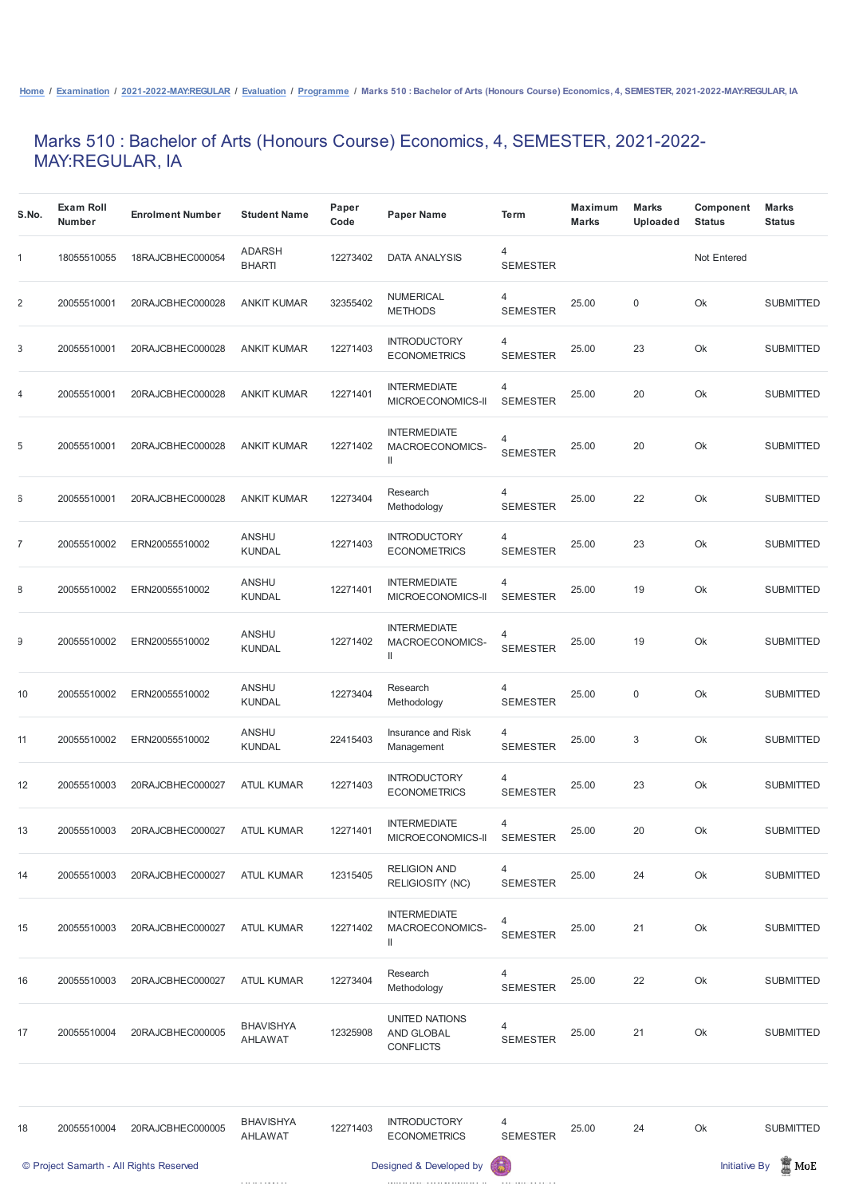## Marks 510 : Bachelor of Arts (Honours Course) Economics, 4, SEMESTER, 2021-2022- MAY:REGULAR, IA

| S.No.          | <b>Exam Roll</b><br><b>Number</b> | <b>Enrolment Number</b> | <b>Student Name</b>            | Paper<br>Code | <b>Paper Name</b>                                                    | <b>Term</b>          | <b>Maximum</b><br><b>Marks</b> | <b>Marks</b><br><b>Uploaded</b> | <b>Component</b><br><b>Status</b> | <b>Marks</b><br><b>Status</b> |
|----------------|-----------------------------------|-------------------------|--------------------------------|---------------|----------------------------------------------------------------------|----------------------|--------------------------------|---------------------------------|-----------------------------------|-------------------------------|
| 1              | 18055510055                       | 18RAJCBHEC000054        | <b>ADARSH</b><br><b>BHARTI</b> | 12273402      | <b>DATA ANALYSIS</b>                                                 | 4<br><b>SEMESTER</b> |                                |                                 | Not Entered                       |                               |
| $\overline{2}$ | 20055510001                       | 20RAJCBHEC000028        | <b>ANKIT KUMAR</b>             | 32355402      | <b>NUMERICAL</b><br><b>METHODS</b>                                   | 4<br><b>SEMESTER</b> | 25.00                          | $\mathsf 0$                     | Ok                                | <b>SUBMITTED</b>              |
| 3              | 20055510001                       | 20RAJCBHEC000028        | <b>ANKIT KUMAR</b>             | 12271403      | <b>INTRODUCTORY</b><br><b>ECONOMETRICS</b>                           | 4<br><b>SEMESTER</b> | 25.00                          | 23                              | Ok                                | <b>SUBMITTED</b>              |
| $\overline{1}$ | 20055510001                       | 20RAJCBHEC000028        | <b>ANKIT KUMAR</b>             | 12271401      | <b>INTERMEDIATE</b><br>MICROECONOMICS-II                             | 4<br><b>SEMESTER</b> | 25.00                          | 20                              | Ok                                | <b>SUBMITTED</b>              |
| 5              | 20055510001                       | 20RAJCBHEC000028        | <b>ANKIT KUMAR</b>             | 12271402      | <b>INTERMEDIATE</b><br>MACROECONOMICS-<br>$\label{eq:1} \text{  }$   | 4<br><b>SEMESTER</b> | 25.00                          | 20                              | Ok                                | <b>SUBMITTED</b>              |
| G              | 20055510001                       | 20RAJCBHEC000028        | <b>ANKIT KUMAR</b>             | 12273404      | Research<br>Methodology                                              | 4<br><b>SEMESTER</b> | 25.00                          | 22                              | Ok                                | <b>SUBMITTED</b>              |
| $\overline{I}$ | 20055510002                       | ERN20055510002          | <b>ANSHU</b><br><b>KUNDAL</b>  | 12271403      | <b>INTRODUCTORY</b><br><b>ECONOMETRICS</b>                           | 4<br><b>SEMESTER</b> | 25.00                          | 23                              | Ok                                | <b>SUBMITTED</b>              |
| 3              | 20055510002                       | ERN20055510002          | <b>ANSHU</b><br><b>KUNDAL</b>  | 12271401      | <b>INTERMEDIATE</b><br>MICROECONOMICS-II                             | 4<br><b>SEMESTER</b> | 25.00                          | 19                              | Ok                                | <b>SUBMITTED</b>              |
| Э              | 20055510002                       | ERN20055510002          | <b>ANSHU</b><br>KUNDAL         | 12271402      | <b>INTERMEDIATE</b><br>MACROECONOMICS-<br>$\ensuremath{\mathsf{II}}$ | 4<br><b>SEMESTER</b> | 25.00                          | 19                              | Ok                                | <b>SUBMITTED</b>              |
| 10             | 20055510002                       | ERN20055510002          | <b>ANSHU</b><br><b>KUNDAL</b>  | 12273404      | Research<br>Methodology                                              | 4<br><b>SEMESTER</b> | 25.00                          | $\mathsf 0$                     | Ok                                | <b>SUBMITTED</b>              |
| 11             | 20055510002                       | ERN20055510002          | <b>ANSHU</b><br><b>KUNDAL</b>  | 22415403      | Insurance and Risk<br>Management                                     | 4<br><b>SEMESTER</b> | 25.00                          | $\sqrt{3}$                      | Ok                                | <b>SUBMITTED</b>              |
| 12             | 20055510003                       | 20RAJCBHEC000027        | <b>ATUL KUMAR</b>              | 12271403      | <b>INTRODUCTORY</b><br><b>ECONOMETRICS</b>                           | 4<br><b>SEMESTER</b> | 25.00                          | 23                              | Ok                                | <b>SUBMITTED</b>              |
| 13             | 20055510003                       | 20RAJCBHEC000027        | <b>ATUL KUMAR</b>              | 12271401      | <b>INTERMEDIATE</b><br>MICROECONOMICS-II                             | 4<br><b>SEMESTER</b> | 25.00                          | 20                              | Ok                                | <b>SUBMITTED</b>              |
| 14             | 20055510003                       | 20RAJCBHEC000027        | <b>ATUL KUMAR</b>              | 12315405      | <b>RELIGION AND</b><br>RELIGIOSITY (NC)                              | 4<br><b>SEMESTER</b> | 25.00                          | 24                              | Ok                                | <b>SUBMITTED</b>              |

|    |             | © Project Samarth - All Rights Reserved |                                    |          | Designed & Developed by                          | 63                   |       |    |    | $\blacksquare$ MoE<br><b>Initiative By</b> |
|----|-------------|-----------------------------------------|------------------------------------|----------|--------------------------------------------------|----------------------|-------|----|----|--------------------------------------------|
| 18 | 20055510004 | 20RAJCBHEC000005                        | <b>BHAVISHYA</b><br><b>AHLAWAT</b> | 12271403 | <b>INTRODUCTORY</b><br><b>ECONOMETRICS</b>       | 4<br><b>SEMESTER</b> | 25.00 | 24 | Ok | <b>SUBMITTED</b>                           |
|    |             |                                         |                                    |          |                                                  |                      |       |    |    |                                            |
| 17 | 20055510004 | 20RAJCBHEC000005                        | <b>BHAVISHYA</b><br><b>AHLAWAT</b> | 12325908 | UNITED NATIONS<br>AND GLOBAL<br><b>CONFLICTS</b> | 4<br><b>SEMESTER</b> | 25.00 | 21 | Ok | <b>SUBMITTED</b>                           |
| 16 | 20055510003 | 20RAJCBHEC000027                        | <b>ATUL KUMAR</b>                  | 12273404 | Research<br>Methodology                          | 4<br><b>SEMESTER</b> | 25.00 | 22 | Ok | <b>SUBMITTED</b>                           |
| 15 | 20055510003 | 20RAJCBHEC000027                        | <b>ATUL KUMAR</b>                  | 12271402 | <b>INTERMEDIATE</b><br>MACROECONOMICS-<br>Ш      | 4<br><b>SEMESTER</b> | 25.00 | 21 | Ok | <b>SUBMITTED</b>                           |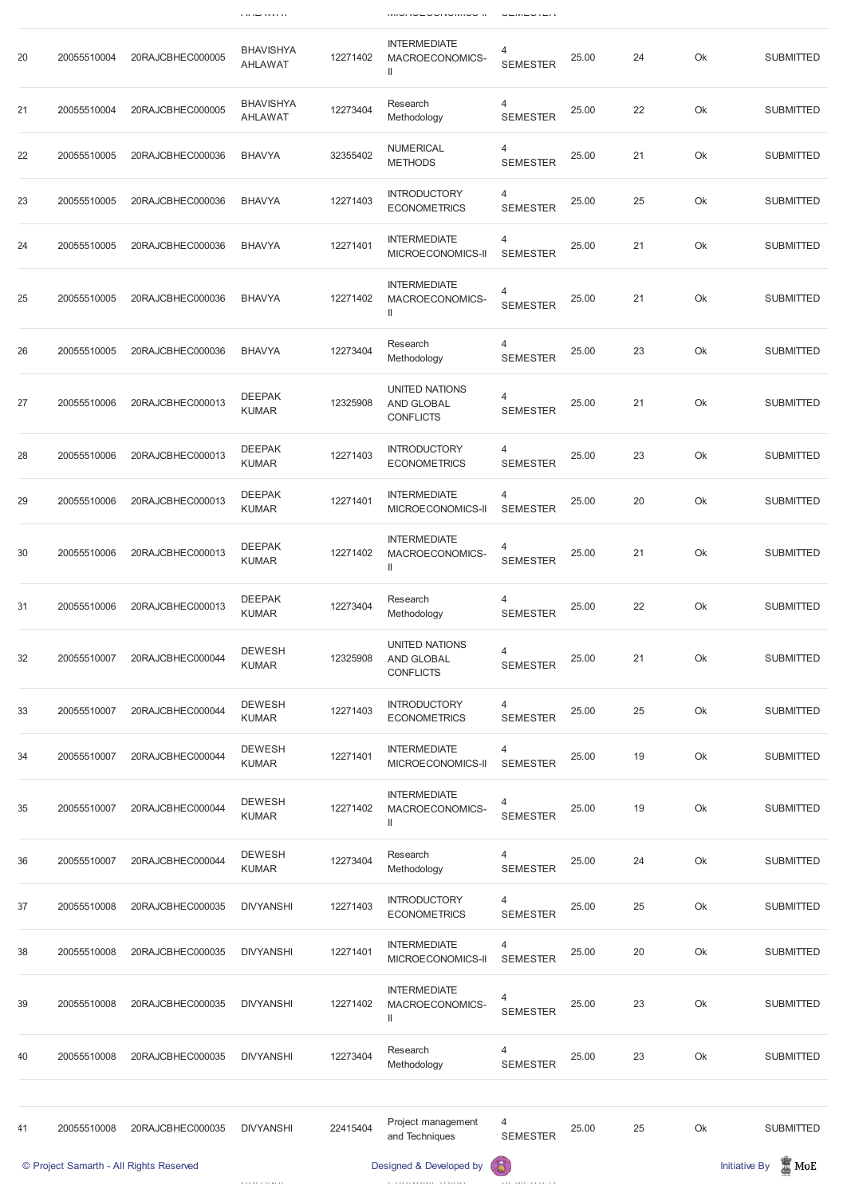|    |             |                                         | <b>ZALIGE AVVIAT</b>               |          | וויווטו <i>ו</i> ט∟טטווטט וו                                   | $\cup$               |       |    |    |                                            |
|----|-------------|-----------------------------------------|------------------------------------|----------|----------------------------------------------------------------|----------------------|-------|----|----|--------------------------------------------|
| 20 | 20055510004 | 20RAJCBHEC000005                        | <b>BHAVISHYA</b><br><b>AHLAWAT</b> | 12271402 | <b>INTERMEDIATE</b><br>MACROECONOMICS-<br>$\mathbf{  }$        | 4<br><b>SEMESTER</b> | 25.00 | 24 | Ok | <b>SUBMITTED</b>                           |
| 21 | 20055510004 | 20RAJCBHEC000005                        | <b>BHAVISHYA</b><br><b>AHLAWAT</b> | 12273404 | Research<br>Methodology                                        | 4<br><b>SEMESTER</b> | 25.00 | 22 | Ok | <b>SUBMITTED</b>                           |
| 22 | 20055510005 | 20RAJCBHEC000036                        | <b>BHAVYA</b>                      | 32355402 | <b>NUMERICAL</b><br><b>METHODS</b>                             | 4<br><b>SEMESTER</b> | 25.00 | 21 | Ok | <b>SUBMITTED</b>                           |
| 23 | 20055510005 | 20RAJCBHEC000036                        | <b>BHAVYA</b>                      | 12271403 | <b>INTRODUCTORY</b><br><b>ECONOMETRICS</b>                     | 4<br><b>SEMESTER</b> | 25.00 | 25 | Ok | <b>SUBMITTED</b>                           |
| 24 | 20055510005 | 20RAJCBHEC000036                        | <b>BHAVYA</b>                      | 12271401 | <b>INTERMEDIATE</b><br>MICROECONOMICS-II                       | 4<br><b>SEMESTER</b> | 25.00 | 21 | Ok | <b>SUBMITTED</b>                           |
| 25 | 20055510005 | 20RAJCBHEC000036                        | <b>BHAVYA</b>                      | 12271402 | <b>INTERMEDIATE</b><br>MACROECONOMICS-<br>$\mathsf{I}$         | 4<br><b>SEMESTER</b> | 25.00 | 21 | Ok | <b>SUBMITTED</b>                           |
| 26 | 20055510005 | 20RAJCBHEC000036                        | <b>BHAVYA</b>                      | 12273404 | Research<br>Methodology                                        | 4<br><b>SEMESTER</b> | 25.00 | 23 | Ok | <b>SUBMITTED</b>                           |
| 27 | 20055510006 | 20RAJCBHEC000013                        | <b>DEEPAK</b><br><b>KUMAR</b>      | 12325908 | <b>UNITED NATIONS</b><br><b>AND GLOBAL</b><br><b>CONFLICTS</b> | 4<br><b>SEMESTER</b> | 25.00 | 21 | Ok | <b>SUBMITTED</b>                           |
| 28 | 20055510006 | 20RAJCBHEC000013                        | <b>DEEPAK</b><br><b>KUMAR</b>      | 12271403 | <b>INTRODUCTORY</b><br><b>ECONOMETRICS</b>                     | 4<br><b>SEMESTER</b> | 25.00 | 23 | Ok | <b>SUBMITTED</b>                           |
| 29 | 20055510006 | 20RAJCBHEC000013                        | <b>DEEPAK</b><br><b>KUMAR</b>      | 12271401 | <b>INTERMEDIATE</b><br>MICROECONOMICS-II                       | 4<br><b>SEMESTER</b> | 25.00 | 20 | Ok | <b>SUBMITTED</b>                           |
| 30 | 20055510006 | 20RAJCBHEC000013                        | <b>DEEPAK</b><br><b>KUMAR</b>      | 12271402 | <b>INTERMEDIATE</b><br>MACROECONOMICS-<br>$\mathbf{I}$         | 4<br><b>SEMESTER</b> | 25.00 | 21 | Ok | <b>SUBMITTED</b>                           |
| 31 | 20055510006 | 20RAJCBHEC000013                        | <b>DEEPAK</b><br><b>KUMAR</b>      | 12273404 | Research<br>Methodology                                        | 4<br><b>SEMESTER</b> | 25.00 | 22 | Ok | <b>SUBMITTED</b>                           |
| 32 | 20055510007 | 20RAJCBHEC000044                        | <b>DEWESH</b><br><b>KUMAR</b>      | 12325908 | <b>UNITED NATIONS</b><br><b>AND GLOBAL</b><br><b>CONFLICTS</b> | 4<br><b>SEMESTER</b> | 25.00 | 21 | Ok | <b>SUBMITTED</b>                           |
| 33 | 20055510007 | 20RAJCBHEC000044                        | <b>DEWESH</b><br><b>KUMAR</b>      | 12271403 | <b>INTRODUCTORY</b><br><b>ECONOMETRICS</b>                     | 4<br><b>SEMESTER</b> | 25.00 | 25 | Ok | <b>SUBMITTED</b>                           |
| 34 | 20055510007 | 20RAJCBHEC000044                        | <b>DEWESH</b><br><b>KUMAR</b>      | 12271401 | <b>INTERMEDIATE</b><br>MICROECONOMICS-II                       | 4<br><b>SEMESTER</b> | 25.00 | 19 | Ok | <b>SUBMITTED</b>                           |
| 35 | 20055510007 | 20RAJCBHEC000044                        | <b>DEWESH</b><br><b>KUMAR</b>      | 12271402 | <b>INTERMEDIATE</b><br>MACROECONOMICS-<br>$\mathbf{  }$        | 4<br><b>SEMESTER</b> | 25.00 | 19 | Ok | <b>SUBMITTED</b>                           |
| 36 | 20055510007 | 20RAJCBHEC000044                        | <b>DEWESH</b><br><b>KUMAR</b>      | 12273404 | Research<br>Methodology                                        | 4<br><b>SEMESTER</b> | 25.00 | 24 | Ok | <b>SUBMITTED</b>                           |
| 37 | 20055510008 | 20RAJCBHEC000035                        | <b>DIVYANSHI</b>                   | 12271403 | <b>INTRODUCTORY</b><br><b>ECONOMETRICS</b>                     | 4<br><b>SEMESTER</b> | 25.00 | 25 | Ok | <b>SUBMITTED</b>                           |
| 38 | 20055510008 | 20RAJCBHEC000035                        | <b>DIVYANSHI</b>                   | 12271401 | <b>INTERMEDIATE</b><br>MICROECONOMICS-II                       | 4<br><b>SEMESTER</b> | 25.00 | 20 | Ok | <b>SUBMITTED</b>                           |
| 39 | 20055510008 | 20RAJCBHEC000035                        | <b>DIVYANSHI</b>                   | 12271402 | <b>INTERMEDIATE</b><br>MACROECONOMICS-<br>$\mathbf{I}$         | 4<br><b>SEMESTER</b> | 25.00 | 23 | Ok | <b>SUBMITTED</b>                           |
| 40 | 20055510008 | 20RAJCBHEC000035                        | <b>DIVYANSHI</b>                   | 12273404 | Research<br>Methodology                                        | 4<br><b>SEMESTER</b> | 25.00 | 23 | Ok | <b>SUBMITTED</b>                           |
|    |             |                                         |                                    |          |                                                                |                      |       |    |    |                                            |
| 41 | 20055510008 | 20RAJCBHEC000035                        | <b>DIVYANSHI</b>                   | 22415404 | Project management<br>and Techniques                           | 4<br><b>SEMESTER</b> | 25.00 | 25 | Ok | <b>SUBMITTED</b>                           |
|    |             | © Project Samarth - All Rights Reserved |                                    |          | Designed & Developed by                                        |                      |       |    |    | $\blacksquare$ MoE<br><b>Initiative By</b> |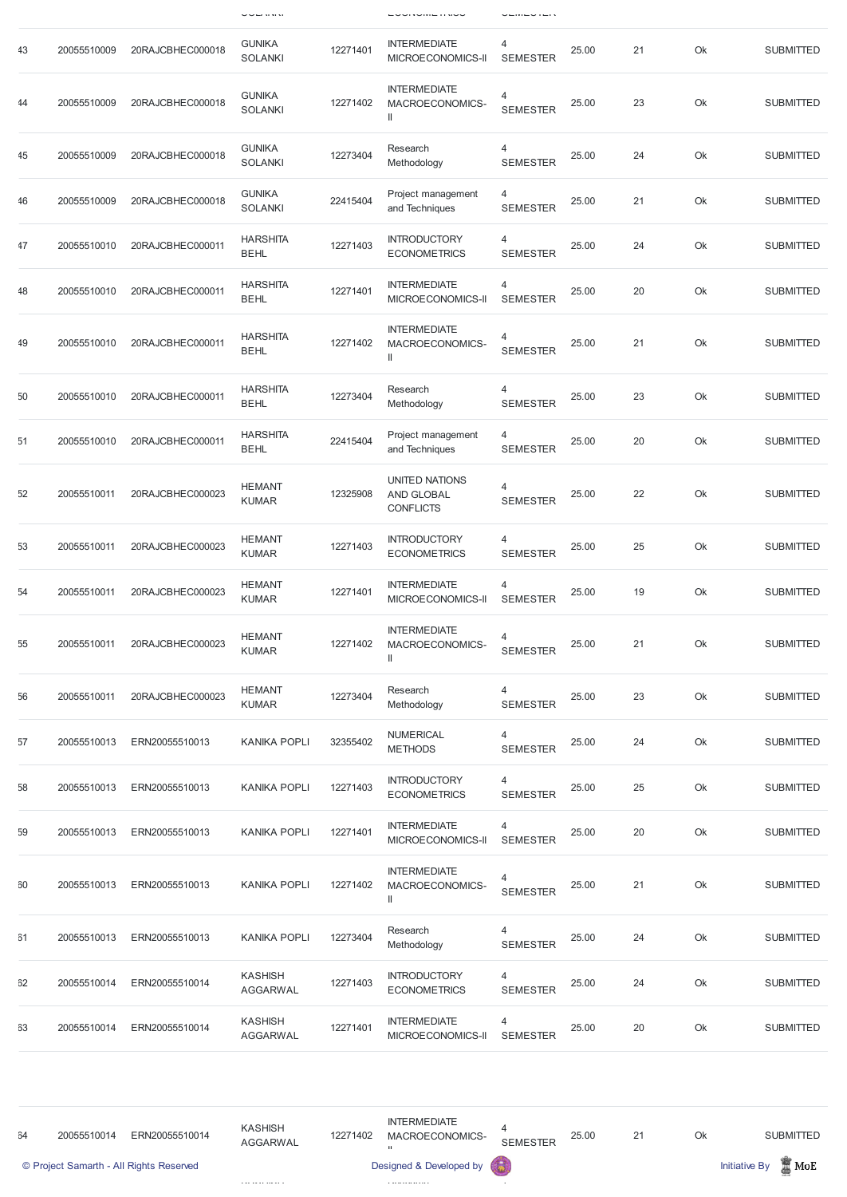|     |             |                  | ———                             |          |                                                          | ---------                         |       |    |    |                  |
|-----|-------------|------------------|---------------------------------|----------|----------------------------------------------------------|-----------------------------------|-------|----|----|------------------|
| 43  | 20055510009 | 20RAJCBHEC000018 | <b>GUNIKA</b><br><b>SOLANKI</b> | 12271401 | <b>INTERMEDIATE</b><br>MICROECONOMICS-II                 | 4<br><b>SEMESTER</b>              | 25.00 | 21 | Ok | <b>SUBMITTED</b> |
| 44  | 20055510009 | 20RAJCBHEC000018 | <b>GUNIKA</b><br><b>SOLANKI</b> | 12271402 | <b>INTERMEDIATE</b><br>MACROECONOMICS-<br>$\, \parallel$ | 4<br><b>SEMESTER</b>              | 25.00 | 23 | Ok | <b>SUBMITTED</b> |
| 45  | 20055510009 | 20RAJCBHEC000018 | <b>GUNIKA</b><br><b>SOLANKI</b> | 12273404 | Research<br>Methodology                                  | 4<br><b>SEMESTER</b>              | 25.00 | 24 | Ok | <b>SUBMITTED</b> |
| 46  | 20055510009 | 20RAJCBHEC000018 | <b>GUNIKA</b><br><b>SOLANKI</b> | 22415404 | Project management<br>and Techniques                     | 4<br><b>SEMESTER</b>              | 25.00 | 21 | Ok | <b>SUBMITTED</b> |
| 47  | 20055510010 | 20RAJCBHEC000011 | <b>HARSHITA</b><br><b>BEHL</b>  | 12271403 | <b>INTRODUCTORY</b><br><b>ECONOMETRICS</b>               | 4<br><b>SEMESTER</b>              | 25.00 | 24 | Ok | <b>SUBMITTED</b> |
| 48  | 20055510010 | 20RAJCBHEC000011 | <b>HARSHITA</b><br><b>BEHL</b>  | 12271401 | <b>INTERMEDIATE</b><br>MICROECONOMICS-II                 | 4<br><b>SEMESTER</b>              | 25.00 | 20 | Ok | <b>SUBMITTED</b> |
| 49  | 20055510010 | 20RAJCBHEC000011 | <b>HARSHITA</b><br><b>BEHL</b>  | 12271402 | <b>INTERMEDIATE</b><br>MACROECONOMICS-<br>$\mathop{  }$  | 4<br><b>SEMESTER</b>              | 25.00 | 21 | Ok | <b>SUBMITTED</b> |
| -50 | 20055510010 | 20RAJCBHEC000011 | <b>HARSHITA</b><br><b>BEHL</b>  | 12273404 | Research<br>Methodology                                  | 4<br><b>SEMESTER</b>              | 25.00 | 23 | Ok | <b>SUBMITTED</b> |
| 51  | 20055510010 | 20RAJCBHEC000011 | <b>HARSHITA</b><br><b>BEHL</b>  | 22415404 | Project management<br>and Techniques                     | 4<br><b>SEMESTER</b>              | 25.00 | 20 | Ok | <b>SUBMITTED</b> |
| 52  | 20055510011 | 20RAJCBHEC000023 | <b>HEMANT</b><br><b>KUMAR</b>   | 12325908 | UNITED NATIONS<br><b>AND GLOBAL</b><br><b>CONFLICTS</b>  | 4<br><b>SEMESTER</b>              | 25.00 | 22 | Ok | <b>SUBMITTED</b> |
| 53  | 20055510011 | 20RAJCBHEC000023 | <b>HEMANT</b><br><b>KUMAR</b>   | 12271403 | <b>INTRODUCTORY</b><br><b>ECONOMETRICS</b>               | 4<br><b>SEMESTER</b>              | 25.00 | 25 | Ok | <b>SUBMITTED</b> |
| 54  | 20055510011 | 20RAJCBHEC000023 | <b>HEMANT</b><br><b>KUMAR</b>   | 12271401 | <b>INTERMEDIATE</b><br>MICROECONOMICS-II                 | 4<br><b>SEMESTER</b>              | 25.00 | 19 | Ok | <b>SUBMITTED</b> |
| 55  | 20055510011 | 20RAJCBHEC000023 | <b>HEMANT</b><br><b>KUMAR</b>   | 12271402 | <b>INTERMEDIATE</b><br>MACROECONOMICS-<br>$\, \parallel$ | $\overline{4}$<br><b>SEMESTER</b> | 25.00 | 21 | Ok | <b>SUBMITTED</b> |
| 56  | 20055510011 | 20RAJCBHEC000023 | <b>HEMANT</b><br><b>KUMAR</b>   | 12273404 | Research<br>Methodology                                  | 4<br><b>SEMESTER</b>              | 25.00 | 23 | Ok | <b>SUBMITTED</b> |
| 57  | 20055510013 | ERN20055510013   | <b>KANIKA POPLI</b>             | 32355402 | <b>NUMERICAL</b><br><b>METHODS</b>                       | 4<br><b>SEMESTER</b>              | 25.00 | 24 | Ok | <b>SUBMITTED</b> |
| 58  | 20055510013 | ERN20055510013   | <b>KANIKA POPLI</b>             | 12271403 | <b>INTRODUCTORY</b><br><b>ECONOMETRICS</b>               | 4<br><b>SEMESTER</b>              | 25.00 | 25 | Ok | <b>SUBMITTED</b> |
| 59  | 20055510013 | ERN20055510013   | <b>KANIKA POPLI</b>             | 12271401 | <b>INTERMEDIATE</b><br>MICROECONOMICS-II                 | 4<br><b>SEMESTER</b>              | 25.00 | 20 | Ok | <b>SUBMITTED</b> |
| -30 | 20055510013 | ERN20055510013   | <b>KANIKA POPLI</b>             | 12271402 | <b>INTERMEDIATE</b><br>MACROECONOMICS-<br>$\mathbb{I}$   | <b>SEMESTER</b>                   | 25.00 | 21 | Ok | <b>SUBMITTED</b> |

| $\overline{31}$ | 20055510013 | ERN20055510013 | <b>KANIKA POPLI</b>               | 12273404 | Research<br>Methodology                    | <b>SEMESTER</b> | 25.00 | 24 | Ok | <b>SUBMITTED</b> |
|-----------------|-------------|----------------|-----------------------------------|----------|--------------------------------------------|-----------------|-------|----|----|------------------|
| 32              | 20055510014 | ERN20055510014 | <b>KASHISH</b><br><b>AGGARWAL</b> | 12271403 | <b>INTRODUCTORY</b><br><b>ECONOMETRICS</b> | <b>SEMESTER</b> | 25.00 | 24 | Ok | <b>SUBMITTED</b> |
| 33              | 20055510014 | ERN20055510014 | KASHISH<br>AGGARWAL               | 12271401 | <b>INTERMEDIATE</b><br>MICROECONOMICS-II   | <b>SEMESTER</b> | 25.00 | 20 | Ok | <b>SUBMITTED</b> |

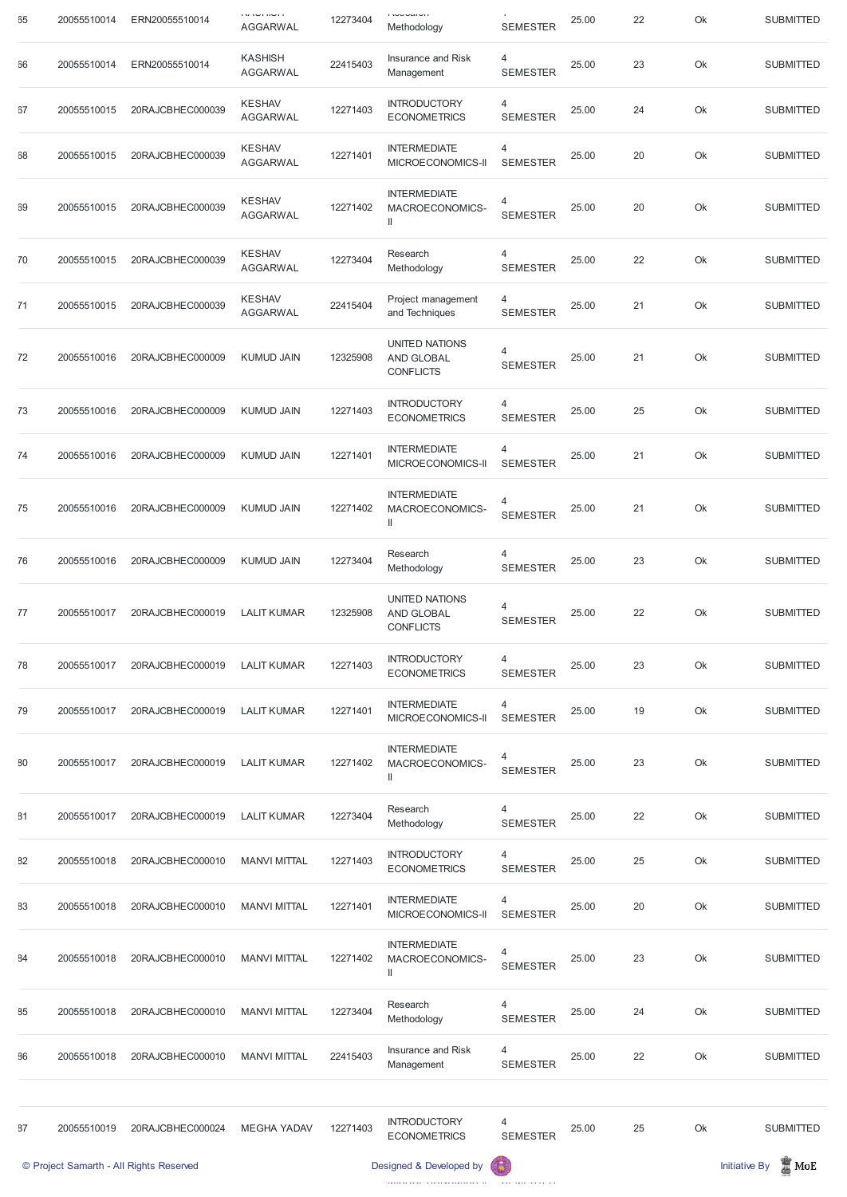| 35 | 20055510014 | ERN20055510014                          | ד וישור ושר ער<br><b>AGGARWAL</b> | 12273404 | <b>INVOLUTION</b><br>Methodology                               | $\mathbf{\tau}$<br><b>SEMESTER</b> | 25.00 | 22 | Ok | <b>SUBMITTED</b>                 |
|----|-------------|-----------------------------------------|-----------------------------------|----------|----------------------------------------------------------------|------------------------------------|-------|----|----|----------------------------------|
| 36 | 20055510014 | ERN20055510014                          | <b>KASHISH</b><br><b>AGGARWAL</b> | 22415403 | Insurance and Risk<br>Management                               | 4<br><b>SEMESTER</b>               | 25.00 | 23 | Ok | <b>SUBMITTED</b>                 |
| 37 | 20055510015 | 20RAJCBHEC000039                        | <b>KESHAV</b><br><b>AGGARWAL</b>  | 12271403 | <b>INTRODUCTORY</b><br><b>ECONOMETRICS</b>                     | 4<br><b>SEMESTER</b>               | 25.00 | 24 | Ok | <b>SUBMITTED</b>                 |
| 38 | 20055510015 | 20RAJCBHEC000039                        | <b>KESHAV</b><br><b>AGGARWAL</b>  | 12271401 | <b>INTERMEDIATE</b><br>MICROECONOMICS-II                       | 4<br><b>SEMESTER</b>               | 25.00 | 20 | Ok | <b>SUBMITTED</b>                 |
| 39 | 20055510015 | 20RAJCBHEC000039                        | <b>KESHAV</b><br><b>AGGARWAL</b>  | 12271402 | <b>INTERMEDIATE</b><br>MACROECONOMICS-                         | 4<br><b>SEMESTER</b>               | 25.00 | 20 | Ok | <b>SUBMITTED</b>                 |
| 70 | 20055510015 | 20RAJCBHEC000039                        | <b>KESHAV</b><br><b>AGGARWAL</b>  | 12273404 | Research<br>Methodology                                        | 4<br><b>SEMESTER</b>               | 25.00 | 22 | Ok | <b>SUBMITTED</b>                 |
| 71 | 20055510015 | 20RAJCBHEC000039                        | <b>KESHAV</b><br><b>AGGARWAL</b>  | 22415404 | Project management<br>and Techniques                           | 4<br><b>SEMESTER</b>               | 25.00 | 21 | Ok | <b>SUBMITTED</b>                 |
| 72 | 20055510016 | 20RAJCBHEC000009                        | <b>KUMUD JAIN</b>                 | 12325908 | UNITED NATIONS<br>AND GLOBAL<br><b>CONFLICTS</b>               | 4<br><b>SEMESTER</b>               | 25.00 | 21 | Ok | <b>SUBMITTED</b>                 |
| 73 | 20055510016 | 20RAJCBHEC000009                        | <b>KUMUD JAIN</b>                 | 12271403 | <b>INTRODUCTORY</b><br><b>ECONOMETRICS</b>                     | 4<br><b>SEMESTER</b>               | 25.00 | 25 | Ok | <b>SUBMITTED</b>                 |
| 74 | 20055510016 | 20RAJCBHEC000009                        | <b>KUMUD JAIN</b>                 | 12271401 | <b>INTERMEDIATE</b><br>MICROECONOMICS-II                       | 4<br><b>SEMESTER</b>               | 25.00 | 21 | Ok | <b>SUBMITTED</b>                 |
| 75 | 20055510016 | 20RAJCBHEC000009                        | <b>KUMUD JAIN</b>                 | 12271402 | <b>INTERMEDIATE</b><br>MACROECONOMICS-                         | 4<br><b>SEMESTER</b>               | 25.00 | 21 | Ok | <b>SUBMITTED</b>                 |
| 76 | 20055510016 | 20RAJCBHEC000009                        | <b>KUMUD JAIN</b>                 | 12273404 | Research<br>Methodology                                        | 4<br><b>SEMESTER</b>               | 25.00 | 23 | Ok | <b>SUBMITTED</b>                 |
| 77 | 20055510017 | 20RAJCBHEC000019                        | <b>LALIT KUMAR</b>                | 12325908 | <b>UNITED NATIONS</b><br><b>AND GLOBAL</b><br><b>CONFLICTS</b> | 4<br><b>SEMESTER</b>               | 25.00 | 22 | Ok | <b>SUBMITTED</b>                 |
| 78 | 20055510017 | 20RAJCBHEC000019                        | <b>LALIT KUMAR</b>                | 12271403 | <b>INTRODUCTORY</b><br><b>ECONOMETRICS</b>                     | 4<br><b>SEMESTER</b>               | 25.00 | 23 | Ok | <b>SUBMITTED</b>                 |
| 79 | 20055510017 | 20RAJCBHEC000019                        | <b>LALIT KUMAR</b>                | 12271401 | <b>INTERMEDIATE</b><br>MICROECONOMICS-II                       | 4<br><b>SEMESTER</b>               | 25.00 | 19 | Ok | <b>SUBMITTED</b>                 |
| 30 | 20055510017 | 20RAJCBHEC000019                        | <b>LALIT KUMAR</b>                | 12271402 | <b>INTERMEDIATE</b><br>MACROECONOMICS-                         | 4<br><b>SEMESTER</b>               | 25.00 | 23 | Ok | <b>SUBMITTED</b>                 |
| 31 | 20055510017 | 20RAJCBHEC000019                        | <b>LALIT KUMAR</b>                | 12273404 | Research<br>Methodology                                        | 4<br><b>SEMESTER</b>               | 25.00 | 22 | Ok | <b>SUBMITTED</b>                 |
| 32 | 20055510018 | 20RAJCBHEC000010                        | <b>MANVI MITTAL</b>               | 12271403 | <b>INTRODUCTORY</b><br><b>ECONOMETRICS</b>                     | 4<br><b>SEMESTER</b>               | 25.00 | 25 | Ok | <b>SUBMITTED</b>                 |
| 33 | 20055510018 | 20RAJCBHEC000010                        | <b>MANVI MITTAL</b>               | 12271401 | <b>INTERMEDIATE</b><br>MICROECONOMICS-II SEMESTER              | 4                                  | 25.00 | 20 | Ok | <b>SUBMITTED</b>                 |
| 34 | 20055510018 | 20RAJCBHEC000010                        | <b>MANVI MITTAL</b>               | 12271402 | <b>INTERMEDIATE</b><br>MACROECONOMICS-                         | 4<br><b>SEMESTER</b>               | 25.00 | 23 | Ok | <b>SUBMITTED</b>                 |
| 35 | 20055510018 | 20RAJCBHEC000010                        | <b>MANVI MITTAL</b>               | 12273404 | Research<br>Methodology                                        | 4<br><b>SEMESTER</b>               | 25.00 | 24 | Ok | <b>SUBMITTED</b>                 |
| 36 | 20055510018 | 20RAJCBHEC000010                        | <b>MANVI MITTAL</b>               | 22415403 | Insurance and Risk<br>Management                               | 4<br><b>SEMESTER</b>               | 25.00 | 22 | Ok | <b>SUBMITTED</b>                 |
|    |             |                                         |                                   |          |                                                                |                                    |       |    |    |                                  |
| 37 | 20055510019 | 20RAJCBHEC000024                        | <b>MEGHA YADAV</b>                | 12271403 | <b>INTRODUCTORY</b><br><b>ECONOMETRICS</b>                     | 4<br><b>SEMESTER</b>               | 25.00 | 25 | Ok | <b>SUBMITTED</b>                 |
|    |             | © Project Samarth - All Rights Reserved |                                   |          | Designed & Developed by                                        |                                    |       |    |    | $\mathbb Z$ MoE<br>Initiative By |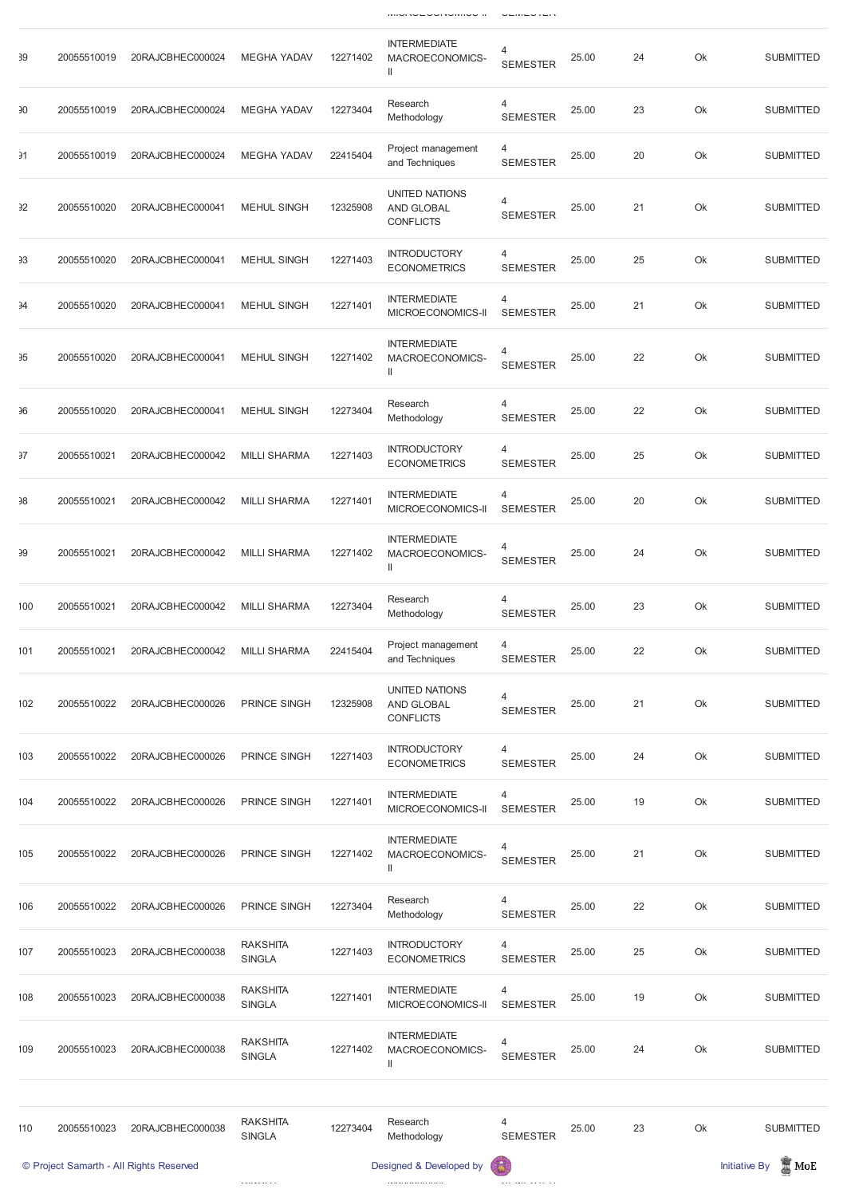MICROECONOMICS-II SEMESTER

| 39  | 20055510019 | 20RAJCBHEC000024                        | <b>MEGHA YADAV</b>               | 12271402 | <b>INTERMEDIATE</b><br>MACROECONOMICS-<br>$\mathbf{  }$        | $\overline{4}$<br><b>SEMESTER</b> | 25.00 | 24 | Ok | <b>SUBMITTED</b>                        |
|-----|-------------|-----------------------------------------|----------------------------------|----------|----------------------------------------------------------------|-----------------------------------|-------|----|----|-----------------------------------------|
| 90  | 20055510019 | 20RAJCBHEC000024                        | <b>MEGHA YADAV</b>               | 12273404 | Research<br>Methodology                                        | $\overline{4}$<br><b>SEMESTER</b> | 25.00 | 23 | Ok | <b>SUBMITTED</b>                        |
| 91  | 20055510019 | 20RAJCBHEC000024                        | <b>MEGHA YADAV</b>               | 22415404 | Project management<br>and Techniques                           | 4<br><b>SEMESTER</b>              | 25.00 | 20 | Ok | <b>SUBMITTED</b>                        |
| 32  | 20055510020 | 20RAJCBHEC000041                        | <b>MEHUL SINGH</b>               | 12325908 | <b>UNITED NATIONS</b><br><b>AND GLOBAL</b><br><b>CONFLICTS</b> | 4<br><b>SEMESTER</b>              | 25.00 | 21 | Ok | <b>SUBMITTED</b>                        |
| 33  | 20055510020 | 20RAJCBHEC000041                        | <b>MEHUL SINGH</b>               | 12271403 | <b>INTRODUCTORY</b><br><b>ECONOMETRICS</b>                     | 4<br><b>SEMESTER</b>              | 25.00 | 25 | Ok | <b>SUBMITTED</b>                        |
| 94  | 20055510020 | 20RAJCBHEC000041                        | <b>MEHUL SINGH</b>               | 12271401 | <b>INTERMEDIATE</b><br>MICROECONOMICS-II                       | 4<br><b>SEMESTER</b>              | 25.00 | 21 | Ok | <b>SUBMITTED</b>                        |
| 95  | 20055510020 | 20RAJCBHEC000041                        | <b>MEHUL SINGH</b>               | 12271402 | <b>INTERMEDIATE</b><br>MACROECONOMICS-<br>$\mathsf{I}$         | $\overline{4}$<br><b>SEMESTER</b> | 25.00 | 22 | Ok | <b>SUBMITTED</b>                        |
| 96  | 20055510020 | 20RAJCBHEC000041                        | <b>MEHUL SINGH</b>               | 12273404 | Research<br>Methodology                                        | 4<br><b>SEMESTER</b>              | 25.00 | 22 | Ok | <b>SUBMITTED</b>                        |
| 37  | 20055510021 | 20RAJCBHEC000042                        | <b>MILLI SHARMA</b>              | 12271403 | <b>INTRODUCTORY</b><br><b>ECONOMETRICS</b>                     | 4<br><b>SEMESTER</b>              | 25.00 | 25 | Ok | <b>SUBMITTED</b>                        |
| 98  | 20055510021 | 20RAJCBHEC000042                        | <b>MILLI SHARMA</b>              | 12271401 | <b>INTERMEDIATE</b><br>MICROECONOMICS-II                       | 4<br><b>SEMESTER</b>              | 25.00 | 20 | Ok | <b>SUBMITTED</b>                        |
| 99  | 20055510021 | 20RAJCBHEC000042                        | <b>MILLI SHARMA</b>              | 12271402 | <b>INTERMEDIATE</b><br>MACROECONOMICS-<br>$\mathbb{I}$         | $\overline{4}$<br><b>SEMESTER</b> | 25.00 | 24 | Ok | <b>SUBMITTED</b>                        |
| 100 | 20055510021 | 20RAJCBHEC000042                        | <b>MILLI SHARMA</b>              | 12273404 | Research<br>Methodology                                        | 4<br><b>SEMESTER</b>              | 25.00 | 23 | Ok | <b>SUBMITTED</b>                        |
| 101 | 20055510021 | 20RAJCBHEC000042                        | <b>MILLI SHARMA</b>              | 22415404 | Project management<br>and Techniques                           | 4<br><b>SEMESTER</b>              | 25.00 | 22 | Ok | <b>SUBMITTED</b>                        |
| 102 | 20055510022 | 20RAJCBHEC000026                        | <b>PRINCE SINGH</b>              | 12325908 | <b>UNITED NATIONS</b><br><b>AND GLOBAL</b><br><b>CONFLICTS</b> | $\overline{4}$<br><b>SEMESTER</b> | 25.00 | 21 | Ok | <b>SUBMITTED</b>                        |
| 103 | 20055510022 | 20RAJCBHEC000026                        | <b>PRINCE SINGH</b>              | 12271403 | <b>INTRODUCTORY</b><br><b>ECONOMETRICS</b>                     | 4<br><b>SEMESTER</b>              | 25.00 | 24 | Ok | <b>SUBMITTED</b>                        |
| 104 | 20055510022 | 20RAJCBHEC000026                        | <b>PRINCE SINGH</b>              | 12271401 | <b>INTERMEDIATE</b><br>MICROECONOMICS-II                       | 4<br><b>SEMESTER</b>              | 25.00 | 19 | Ok | <b>SUBMITTED</b>                        |
| 105 | 20055510022 | 20RAJCBHEC000026                        | <b>PRINCE SINGH</b>              | 12271402 | <b>INTERMEDIATE</b><br>MACROECONOMICS-<br>$\mathbb{I}$         | $\overline{4}$<br><b>SEMESTER</b> | 25.00 | 21 | Ok | <b>SUBMITTED</b>                        |
| 106 | 20055510022 | 20RAJCBHEC000026                        | <b>PRINCE SINGH</b>              | 12273404 | Research<br>Methodology                                        | 4<br><b>SEMESTER</b>              | 25.00 | 22 | Ok | <b>SUBMITTED</b>                        |
| 107 | 20055510023 | 20RAJCBHEC000038                        | <b>RAKSHITA</b><br><b>SINGLA</b> | 12271403 | <b>INTRODUCTORY</b><br><b>ECONOMETRICS</b>                     | 4<br><b>SEMESTER</b>              | 25.00 | 25 | Ok | <b>SUBMITTED</b>                        |
| 108 | 20055510023 | 20RAJCBHEC000038                        | <b>RAKSHITA</b><br><b>SINGLA</b> | 12271401 | <b>INTERMEDIATE</b><br>MICROECONOMICS-II                       | 4<br><b>SEMESTER</b>              | 25.00 | 19 | Ok | <b>SUBMITTED</b>                        |
| 109 | 20055510023 | 20RAJCBHEC000038                        | <b>RAKSHITA</b><br><b>SINGLA</b> | 12271402 | <b>INTERMEDIATE</b><br>MACROECONOMICS-<br>$\mathbf{  }$        | 4<br><b>SEMESTER</b>              | 25.00 | 24 | Ok | <b>SUBMITTED</b>                        |
|     |             |                                         |                                  |          |                                                                |                                   |       |    |    |                                         |
| 110 | 20055510023 | 20RAJCBHEC000038                        | <b>RAKSHITA</b><br><b>SINGLA</b> | 12273404 | Research<br>Methodology                                        | 4<br><b>SEMESTER</b>              | 25.00 | 23 | Ok | <b>SUBMITTED</b>                        |
|     |             | © Project Samarth - All Rights Reserved |                                  |          | Designed & Developed by                                        |                                   |       |    |    | $\mathbb Z$ MoE<br><b>Initiative By</b> |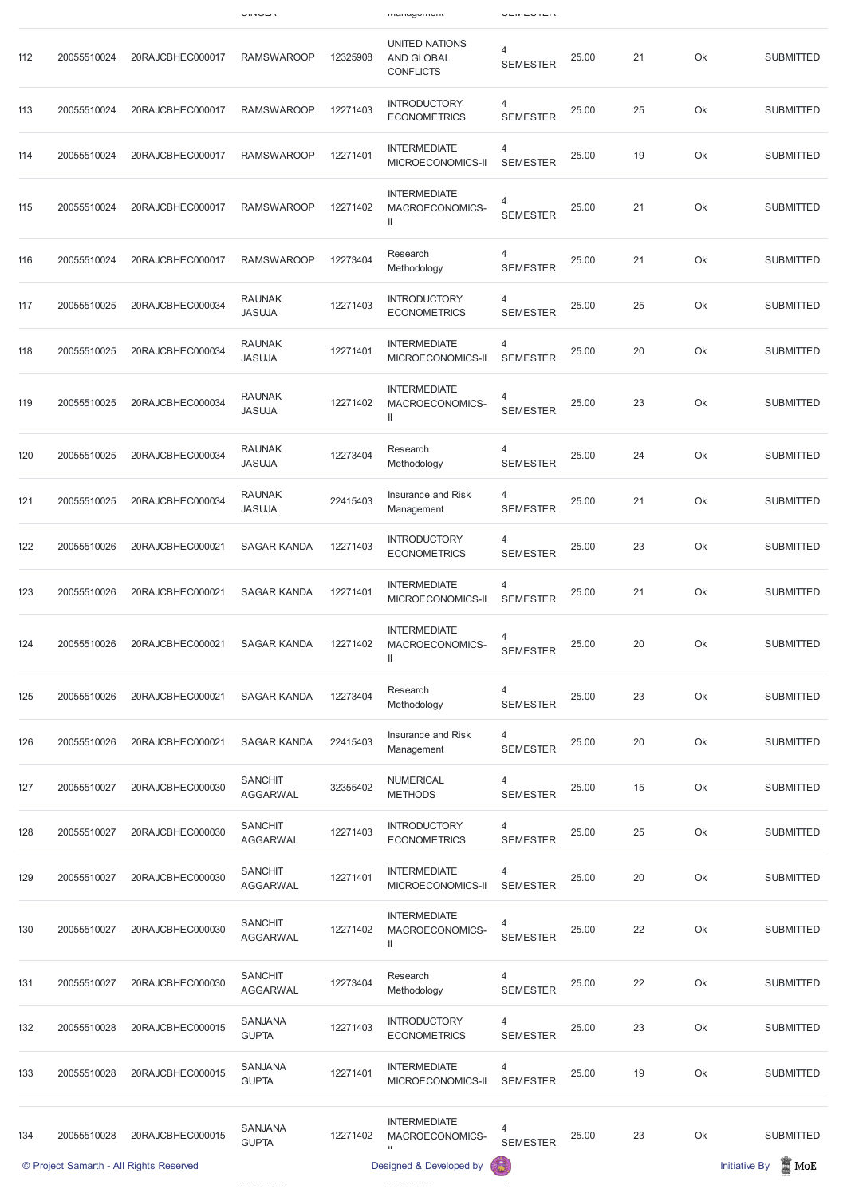|     |             |                  | un vur v                          |          | managomoni                                              |                      |       |        |    |                  |
|-----|-------------|------------------|-----------------------------------|----------|---------------------------------------------------------|----------------------|-------|--------|----|------------------|
| 112 | 20055510024 | 20RAJCBHEC000017 | <b>RAMSWAROOP</b>                 | 12325908 | UNITED NATIONS<br>AND GLOBAL<br><b>CONFLICTS</b>        | 4<br><b>SEMESTER</b> | 25.00 | 21     | Ok | <b>SUBMITTED</b> |
| 113 | 20055510024 | 20RAJCBHEC000017 | <b>RAMSWAROOP</b>                 | 12271403 | <b>INTRODUCTORY</b><br><b>ECONOMETRICS</b>              | 4<br><b>SEMESTER</b> | 25.00 | 25     | Ok | <b>SUBMITTED</b> |
| 114 | 20055510024 | 20RAJCBHEC000017 | <b>RAMSWAROOP</b>                 | 12271401 | <b>INTERMEDIATE</b><br>MICROECONOMICS-II                | 4<br><b>SEMESTER</b> | 25.00 | 19     | Ok | <b>SUBMITTED</b> |
| 115 | 20055510024 | 20RAJCBHEC000017 | <b>RAMSWAROOP</b>                 | 12271402 | <b>INTERMEDIATE</b><br>MACROECONOMICS-<br>$\mathbf{  }$ | 4<br><b>SEMESTER</b> | 25.00 | 21     | Ok | <b>SUBMITTED</b> |
| 116 | 20055510024 | 20RAJCBHEC000017 | <b>RAMSWAROOP</b>                 | 12273404 | Research<br>Methodology                                 | 4<br><b>SEMESTER</b> | 25.00 | 21     | Ok | <b>SUBMITTED</b> |
| 117 | 20055510025 | 20RAJCBHEC000034 | <b>RAUNAK</b><br><b>JASUJA</b>    | 12271403 | <b>INTRODUCTORY</b><br><b>ECONOMETRICS</b>              | 4<br><b>SEMESTER</b> | 25.00 | 25     | Ok | <b>SUBMITTED</b> |
| 118 | 20055510025 | 20RAJCBHEC000034 | <b>RAUNAK</b><br><b>JASUJA</b>    | 12271401 | <b>INTERMEDIATE</b><br>MICROECONOMICS-II                | 4<br><b>SEMESTER</b> | 25.00 | 20     | Ok | <b>SUBMITTED</b> |
| 119 | 20055510025 | 20RAJCBHEC000034 | <b>RAUNAK</b><br><b>JASUJA</b>    | 12271402 | <b>INTERMEDIATE</b><br>MACROECONOMICS-<br>$\mathbf{I}$  | <b>SEMESTER</b>      | 25.00 | 23     | Ok | <b>SUBMITTED</b> |
| 120 | 20055510025 | 20RAJCBHEC000034 | <b>RAUNAK</b><br><b>JASUJA</b>    | 12273404 | Research<br>Methodology                                 | 4<br><b>SEMESTER</b> | 25.00 | 24     | Ok | <b>SUBMITTED</b> |
| 121 | 20055510025 | 20RAJCBHEC000034 | <b>RAUNAK</b><br><b>JASUJA</b>    | 22415403 | Insurance and Risk<br>Management                        | 4<br><b>SEMESTER</b> | 25.00 | 21     | Ok | <b>SUBMITTED</b> |
| 122 | 20055510026 | 20RAJCBHEC000021 | <b>SAGAR KANDA</b>                | 12271403 | <b>INTRODUCTORY</b><br><b>ECONOMETRICS</b>              | 4<br><b>SEMESTER</b> | 25.00 | 23     | Ok | <b>SUBMITTED</b> |
| 123 | 20055510026 | 20RAJCBHEC000021 | <b>SAGAR KANDA</b>                | 12271401 | <b>INTERMEDIATE</b><br>MICROECONOMICS-II                | 4<br><b>SEMESTER</b> | 25.00 | 21     | Ok | <b>SUBMITTED</b> |
| 124 | 20055510026 | 20RAJCBHEC000021 | <b>SAGAR KANDA</b>                | 12271402 | <b>INTERMEDIATE</b><br>MACROECONOMICS-<br>$\mathsf{I}$  | 4<br><b>SEMESTER</b> | 25.00 | 20     | Ok | <b>SUBMITTED</b> |
| 125 | 20055510026 | 20RAJCBHEC000021 | <b>SAGAR KANDA</b>                | 12273404 | Research<br>Methodology                                 | 4<br><b>SEMESTER</b> | 25.00 | 23     | Ok | <b>SUBMITTED</b> |
| 126 | 20055510026 | 20RAJCBHEC000021 | <b>SAGAR KANDA</b>                | 22415403 | <b>Insurance and Risk</b><br>Management                 | 4<br><b>SEMESTER</b> | 25.00 | 20     | Ok | <b>SUBMITTED</b> |
| 127 | 20055510027 | 20RAJCBHEC000030 | <b>SANCHIT</b><br><b>AGGARWAL</b> | 32355402 | <b>NUMERICAL</b><br><b>METHODS</b>                      | 4<br><b>SEMESTER</b> | 25.00 | 15     | Ok | <b>SUBMITTED</b> |
| 128 | 20055510027 | 20RAJCBHEC000030 | <b>SANCHIT</b><br><b>AGGARWAL</b> | 12271403 | <b>INTRODUCTORY</b><br><b>ECONOMETRICS</b>              | 4<br><b>SEMESTER</b> | 25.00 | 25     | Ok | <b>SUBMITTED</b> |
| 129 | 20055510027 | 20RAJCBHEC000030 | <b>SANCHIT</b><br><b>AGGARWAL</b> | 12271401 | <b>INTERMEDIATE</b><br>MICROECONOMICS-II                | 4<br><b>SEMESTER</b> | 25.00 | $20\,$ | Ok | <b>SUBMITTED</b> |

|     |             | © Project Samarth - All Rights Reserved |                                   |          | Designed & Developed by                     | 63                   |       |    |    | $\blacksquare$ MoE<br><b>Initiative By</b> |
|-----|-------------|-----------------------------------------|-----------------------------------|----------|---------------------------------------------|----------------------|-------|----|----|--------------------------------------------|
| 134 | 20055510028 | 20RAJCBHEC000015                        | <b>SANJANA</b><br><b>GUPTA</b>    | 12271402 | <b>INTERMEDIATE</b><br>MACROECONOMICS-<br>ш | 4<br><b>SEMESTER</b> | 25.00 | 23 | Ok | <b>SUBMITTED</b>                           |
| 133 | 20055510028 | 20RAJCBHEC000015                        | <b>SANJANA</b><br><b>GUPTA</b>    | 12271401 | <b>INTERMEDIATE</b><br>MICROECONOMICS-II    | 4<br><b>SEMESTER</b> | 25.00 | 19 | Ok | <b>SUBMITTED</b>                           |
| 132 | 20055510028 | 20RAJCBHEC000015                        | <b>SANJANA</b><br><b>GUPTA</b>    | 12271403 | <b>INTRODUCTORY</b><br><b>ECONOMETRICS</b>  | 4<br><b>SEMESTER</b> | 25.00 | 23 | Ok | <b>SUBMITTED</b>                           |
| 131 | 20055510027 | 20RAJCBHEC000030                        | <b>SANCHIT</b><br><b>AGGARWAL</b> | 12273404 | Research<br>Methodology                     | 4<br><b>SEMESTER</b> | 25.00 | 22 | Ok | <b>SUBMITTED</b>                           |
| 130 | 20055510027 | 20RAJCBHEC000030                        | <b>SANCHIT</b><br><b>AGGARWAL</b> | 12271402 | <b>INTERMEDIATE</b><br>MACROECONOMICS-<br>Ш | 4<br><b>SEMESTER</b> | 25.00 | 22 | Ok | <b>SUBMITTED</b>                           |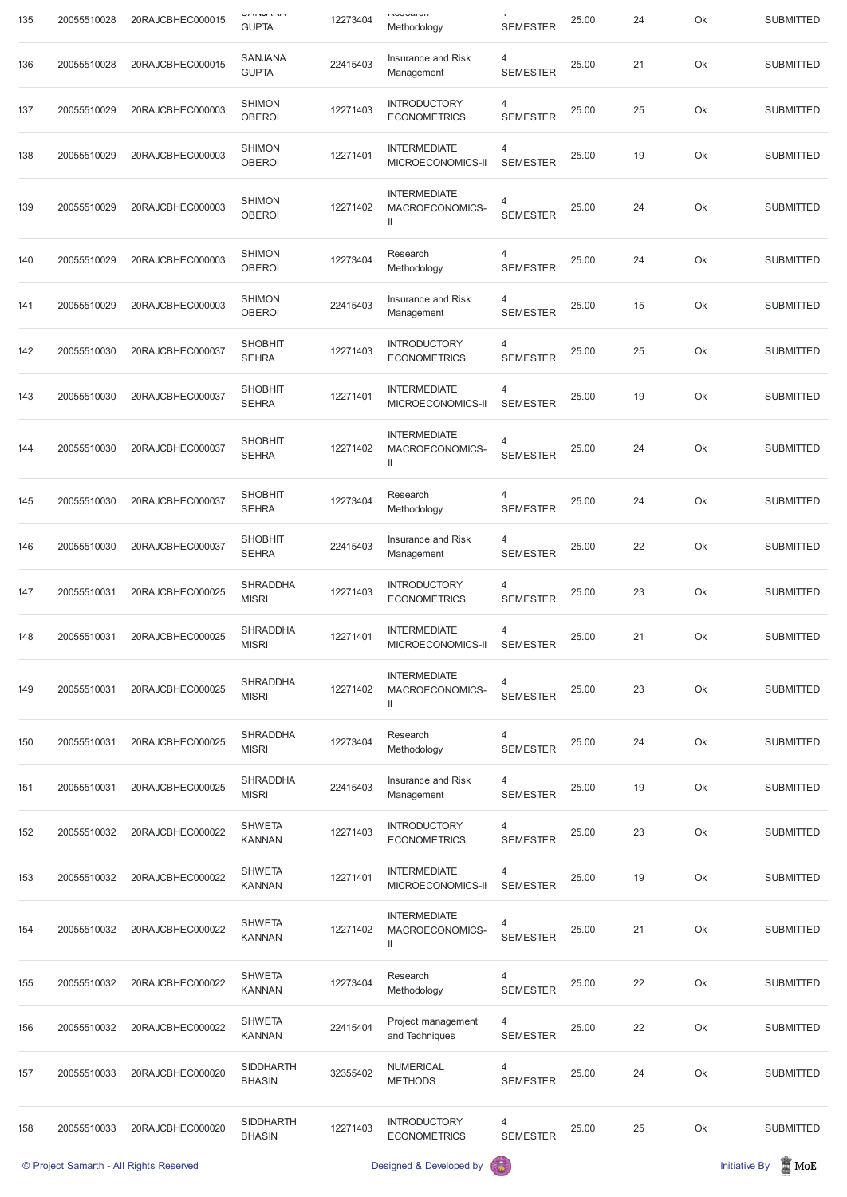| 135 | 20055510028 | 20RAJCBHEC000015 | י שיטים ע<br><b>GUPTA</b>       | 12273404 | ו <i>ו</i> שטטער<br>Methodology                          | <b>SEMESTER</b>      | 25.00 | 24 | Ok | <b>SUBMITTED</b> |
|-----|-------------|------------------|---------------------------------|----------|----------------------------------------------------------|----------------------|-------|----|----|------------------|
| 136 | 20055510028 | 20RAJCBHEC000015 | <b>SANJANA</b><br><b>GUPTA</b>  | 22415403 | Insurance and Risk<br>Management                         | 4<br><b>SEMESTER</b> | 25.00 | 21 | Ok | <b>SUBMITTED</b> |
| 137 | 20055510029 | 20RAJCBHEC000003 | <b>SHIMON</b><br><b>OBEROI</b>  | 12271403 | <b>INTRODUCTORY</b><br><b>ECONOMETRICS</b>               | 4<br><b>SEMESTER</b> | 25.00 | 25 | Ok | <b>SUBMITTED</b> |
| 138 | 20055510029 | 20RAJCBHEC000003 | <b>SHIMON</b><br><b>OBEROI</b>  | 12271401 | <b>INTERMEDIATE</b><br>MICROECONOMICS-II                 | 4<br><b>SEMESTER</b> | 25.00 | 19 | Ok | <b>SUBMITTED</b> |
| 139 | 20055510029 | 20RAJCBHEC000003 | <b>SHIMON</b><br><b>OBEROI</b>  | 12271402 | <b>INTERMEDIATE</b><br>MACROECONOMICS-<br>$\mathbb{I}$   | 4<br><b>SEMESTER</b> | 25.00 | 24 | Ok | <b>SUBMITTED</b> |
| 140 | 20055510029 | 20RAJCBHEC000003 | <b>SHIMON</b><br><b>OBEROI</b>  | 12273404 | Research<br>Methodology                                  | 4<br><b>SEMESTER</b> | 25.00 | 24 | Ok | <b>SUBMITTED</b> |
| 141 | 20055510029 | 20RAJCBHEC000003 | <b>SHIMON</b><br><b>OBEROI</b>  | 22415403 | Insurance and Risk<br>Management                         | 4<br><b>SEMESTER</b> | 25.00 | 15 | Ok | <b>SUBMITTED</b> |
| 142 | 20055510030 | 20RAJCBHEC000037 | <b>SHOBHIT</b><br><b>SEHRA</b>  | 12271403 | <b>INTRODUCTORY</b><br><b>ECONOMETRICS</b>               | 4<br><b>SEMESTER</b> | 25.00 | 25 | Ok | <b>SUBMITTED</b> |
| 143 | 20055510030 | 20RAJCBHEC000037 | <b>SHOBHIT</b><br><b>SEHRA</b>  | 12271401 | <b>INTERMEDIATE</b><br>MICROECONOMICS-II                 | 4<br><b>SEMESTER</b> | 25.00 | 19 | Ok | <b>SUBMITTED</b> |
| 144 | 20055510030 | 20RAJCBHEC000037 | <b>SHOBHIT</b><br><b>SEHRA</b>  | 12271402 | <b>INTERMEDIATE</b><br>MACROECONOMICS-<br>$\, \parallel$ | 4<br><b>SEMESTER</b> | 25.00 | 24 | Ok | <b>SUBMITTED</b> |
| 145 | 20055510030 | 20RAJCBHEC000037 | <b>SHOBHIT</b><br><b>SEHRA</b>  | 12273404 | Research<br>Methodology                                  | 4<br><b>SEMESTER</b> | 25.00 | 24 | Ok | <b>SUBMITTED</b> |
| 146 | 20055510030 | 20RAJCBHEC000037 | <b>SHOBHIT</b><br><b>SEHRA</b>  | 22415403 | Insurance and Risk<br>Management                         | 4<br><b>SEMESTER</b> | 25.00 | 22 | Ok | <b>SUBMITTED</b> |
| 147 | 20055510031 | 20RAJCBHEC000025 | <b>SHRADDHA</b><br><b>MISRI</b> | 12271403 | <b>INTRODUCTORY</b><br><b>ECONOMETRICS</b>               | 4<br><b>SEMESTER</b> | 25.00 | 23 | Ok | <b>SUBMITTED</b> |
| 148 | 20055510031 | 20RAJCBHEC000025 | <b>SHRADDHA</b><br><b>MISRI</b> | 12271401 | <b>INTERMEDIATE</b><br>MICROECONOMICS-II                 | 4<br><b>SEMESTER</b> | 25.00 | 21 | Ok | <b>SUBMITTED</b> |
| 149 | 20055510031 | 20RAJCBHEC000025 | <b>SHRADDHA</b><br><b>MISRI</b> | 12271402 | <b>INTERMEDIATE</b><br>MACROECONOMICS-<br>$\mathbf{I}$   | 4<br><b>SEMESTER</b> | 25.00 | 23 | Ok | <b>SUBMITTED</b> |
| 150 | 20055510031 | 20RAJCBHEC000025 | <b>SHRADDHA</b><br><b>MISRI</b> | 12273404 | Research<br>Methodology                                  | 4<br><b>SEMESTER</b> | 25.00 | 24 | Ok | <b>SUBMITTED</b> |
| 151 | 20055510031 | 20RAJCBHEC000025 | <b>SHRADDHA</b><br><b>MISRI</b> | 22415403 | Insurance and Risk<br>Management                         | 4<br><b>SEMESTER</b> | 25.00 | 19 | Ok | <b>SUBMITTED</b> |
| 152 | 20055510032 | 20RAJCBHEC000022 | <b>SHWETA</b><br><b>KANNAN</b>  | 12271403 | <b>INTRODUCTORY</b><br><b>ECONOMETRICS</b>               | 4<br><b>SEMESTER</b> | 25.00 | 23 | Ok | <b>SUBMITTED</b> |
| 153 | 20055510032 | 20RAJCBHEC000022 | <b>SHWETA</b><br><b>KANNAN</b>  | 12271401 | <b>INTERMEDIATE</b><br>MICROECONOMICS-II                 | 4<br><b>SEMESTER</b> | 25.00 | 19 | Ok | <b>SUBMITTED</b> |

|     |             | © Project Samarth - All Rights Reserved |                                   |          | Designed & Developed by                     |                      |       |    |    | $\blacksquare$ MoE<br><b>Initiative By</b> |
|-----|-------------|-----------------------------------------|-----------------------------------|----------|---------------------------------------------|----------------------|-------|----|----|--------------------------------------------|
| 158 | 20055510033 | 20RAJCBHEC000020                        | <b>SIDDHARTH</b><br><b>BHASIN</b> | 12271403 | <b>INTRODUCTORY</b><br><b>ECONOMETRICS</b>  | 4<br><b>SEMESTER</b> | 25.00 | 25 | Ok | <b>SUBMITTED</b>                           |
| 157 | 20055510033 | 20RAJCBHEC000020                        | <b>SIDDHARTH</b><br><b>BHASIN</b> | 32355402 | <b>NUMERICAL</b><br><b>METHODS</b>          | 4<br><b>SEMESTER</b> | 25.00 | 24 | Ok | <b>SUBMITTED</b>                           |
| 156 | 20055510032 | 20RAJCBHEC000022                        | <b>SHWETA</b><br><b>KANNAN</b>    | 22415404 | Project management<br>and Techniques        | 4<br><b>SEMESTER</b> | 25.00 | 22 | Ok | <b>SUBMITTED</b>                           |
| 155 | 20055510032 | 20RAJCBHEC000022                        | <b>SHWETA</b><br><b>KANNAN</b>    | 12273404 | Research<br>Methodology                     | 4<br><b>SEMESTER</b> | 25.00 | 22 | Ok | <b>SUBMITTED</b>                           |
| 154 | 20055510032 | 20RAJCBHEC000022                        | <b>SHWETA</b><br><b>KANNAN</b>    | 12271402 | <b>INTERMEDIATE</b><br>MACROECONOMICS-<br>Ш | 4<br><b>SEMESTER</b> | 25.00 | 21 | Ok | <b>SUBMITTED</b>                           |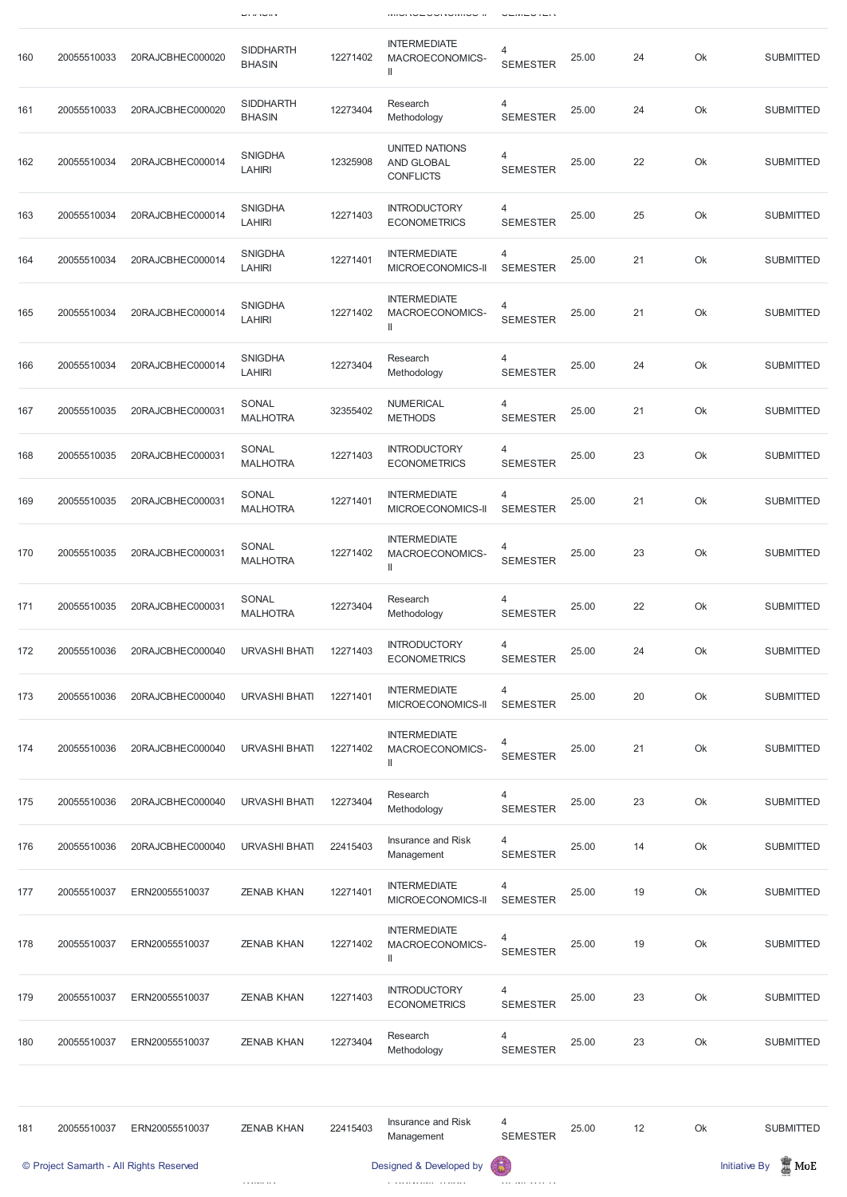|     |             |                  | <b>UITIN</b>                      |          | וזווטו <i>ו</i> שבטטו זשוווטט וו                                                |                      |       |    |    |                  |
|-----|-------------|------------------|-----------------------------------|----------|---------------------------------------------------------------------------------|----------------------|-------|----|----|------------------|
| 160 | 20055510033 | 20RAJCBHEC000020 | <b>SIDDHARTH</b><br><b>BHASIN</b> | 12271402 | <b>INTERMEDIATE</b><br>MACROECONOMICS-<br>Ш                                     | 4<br><b>SEMESTER</b> | 25.00 | 24 | Ok | <b>SUBMITTED</b> |
| 161 | 20055510033 | 20RAJCBHEC000020 | <b>SIDDHARTH</b><br><b>BHASIN</b> | 12273404 | Research<br>Methodology                                                         | 4<br><b>SEMESTER</b> | 25.00 | 24 | Ok | <b>SUBMITTED</b> |
| 162 | 20055510034 | 20RAJCBHEC000014 | <b>SNIGDHA</b><br><b>LAHIRI</b>   | 12325908 | UNITED NATIONS<br>AND GLOBAL<br><b>CONFLICTS</b>                                | 4<br><b>SEMESTER</b> | 25.00 | 22 | Ok | <b>SUBMITTED</b> |
| 163 | 20055510034 | 20RAJCBHEC000014 | <b>SNIGDHA</b><br><b>LAHIRI</b>   | 12271403 | <b>INTRODUCTORY</b><br><b>ECONOMETRICS</b>                                      | 4<br><b>SEMESTER</b> | 25.00 | 25 | Ok | <b>SUBMITTED</b> |
| 164 | 20055510034 | 20RAJCBHEC000014 | <b>SNIGDHA</b><br><b>LAHIRI</b>   | 12271401 | <b>INTERMEDIATE</b><br>MICROECONOMICS-II                                        | 4<br><b>SEMESTER</b> | 25.00 | 21 | Ok | <b>SUBMITTED</b> |
| 165 | 20055510034 | 20RAJCBHEC000014 | <b>SNIGDHA</b><br><b>LAHIRI</b>   | 12271402 | <b>INTERMEDIATE</b><br>MACROECONOMICS-<br>$\mathbf{I}$                          | 4<br><b>SEMESTER</b> | 25.00 | 21 | Ok | <b>SUBMITTED</b> |
| 166 | 20055510034 | 20RAJCBHEC000014 | <b>SNIGDHA</b><br><b>LAHIRI</b>   | 12273404 | Research<br>Methodology                                                         | 4<br><b>SEMESTER</b> | 25.00 | 24 | Ok | <b>SUBMITTED</b> |
| 167 | 20055510035 | 20RAJCBHEC000031 | SONAL<br><b>MALHOTRA</b>          | 32355402 | <b>NUMERICAL</b><br><b>METHODS</b>                                              | 4<br><b>SEMESTER</b> | 25.00 | 21 | Ok | <b>SUBMITTED</b> |
| 168 | 20055510035 | 20RAJCBHEC000031 | SONAL<br><b>MALHOTRA</b>          | 12271403 | <b>INTRODUCTORY</b><br><b>ECONOMETRICS</b>                                      | 4<br><b>SEMESTER</b> | 25.00 | 23 | Ok | <b>SUBMITTED</b> |
| 169 | 20055510035 | 20RAJCBHEC000031 | SONAL<br><b>MALHOTRA</b>          | 12271401 | <b>INTERMEDIATE</b><br>MICROECONOMICS-II                                        | 4<br><b>SEMESTER</b> | 25.00 | 21 | Ok | <b>SUBMITTED</b> |
| 170 | 20055510035 | 20RAJCBHEC000031 | SONAL<br><b>MALHOTRA</b>          | 12271402 | <b>INTERMEDIATE</b><br>MACROECONOMICS-<br>Ш                                     | 4<br><b>SEMESTER</b> | 25.00 | 23 | Ok | <b>SUBMITTED</b> |
| 171 | 20055510035 | 20RAJCBHEC000031 | SONAL<br><b>MALHOTRA</b>          | 12273404 | Research<br>Methodology                                                         | 4<br><b>SEMESTER</b> | 25.00 | 22 | Ok | <b>SUBMITTED</b> |
| 172 | 20055510036 | 20RAJCBHEC000040 | <b>URVASHI BHATI</b>              | 12271403 | <b>INTRODUCTORY</b><br><b>ECONOMETRICS</b>                                      | 4<br><b>SEMESTER</b> | 25.00 | 24 | Ok | <b>SUBMITTED</b> |
| 173 | 20055510036 | 20RAJCBHEC000040 | <b>URVASHI BHATI</b>              | 12271401 | <b>INTERMEDIATE</b><br>MICROECONOMICS-II                                        | 4<br><b>SEMESTER</b> | 25.00 | 20 | Ok | <b>SUBMITTED</b> |
| 174 | 20055510036 | 20RAJCBHEC000040 | <b>URVASHI BHATI</b>              | 12271402 | <b>INTERMEDIATE</b><br>MACROECONOMICS-<br>$\begin{array}{c} \hline \end{array}$ | 4<br><b>SEMESTER</b> | 25.00 | 21 | Ok | <b>SUBMITTED</b> |
| 175 | 20055510036 | 20RAJCBHEC000040 | <b>URVASHI BHATI</b>              | 12273404 | Research<br>Methodology                                                         | 4<br><b>SEMESTER</b> | 25.00 | 23 | Ok | <b>SUBMITTED</b> |
| 176 | 20055510036 | 20RAJCBHEC000040 | <b>URVASHI BHATI</b>              | 22415403 | Insurance and Risk<br>Management                                                | 4<br><b>SEMESTER</b> | 25.00 | 14 | Ok | <b>SUBMITTED</b> |
| 177 | 20055510037 | ERN20055510037   | <b>ZENAB KHAN</b>                 | 12271401 | <b>INTERMEDIATE</b><br>MICROECONOMICS-II                                        | 4<br><b>SEMESTER</b> | 25.00 | 19 | Ok | <b>SUBMITTED</b> |

| 178 | 20055510037 | ERN20055510037                          | <b>ZENAB KHAN</b> | 12271402 | <b>INTERMEDIATE</b><br>MACROECONOMICS-<br>Ш | 4<br><b>SEMESTER</b> | 25.00 | 19 | Ok | <b>SUBMITTED</b>                        |
|-----|-------------|-----------------------------------------|-------------------|----------|---------------------------------------------|----------------------|-------|----|----|-----------------------------------------|
| 179 | 20055510037 | ERN20055510037                          | <b>ZENAB KHAN</b> | 12271403 | <b>INTRODUCTORY</b><br><b>ECONOMETRICS</b>  | 4<br><b>SEMESTER</b> | 25.00 | 23 | Ok | <b>SUBMITTED</b>                        |
| 180 | 20055510037 | ERN20055510037                          | <b>ZENAB KHAN</b> | 12273404 | Research<br>Methodology                     | 4<br><b>SEMESTER</b> | 25.00 | 23 | Ok | <b>SUBMITTED</b>                        |
|     |             |                                         |                   |          |                                             |                      |       |    |    |                                         |
| 181 | 20055510037 | ERN20055510037                          | <b>ZENAB KHAN</b> | 22415403 | Insurance and Risk<br>Management            | 4<br><b>SEMESTER</b> | 25.00 | 12 | Ok | <b>SUBMITTED</b>                        |
|     |             | © Project Samarth - All Rights Reserved |                   |          | Designed & Developed by                     | $\left( 5\right)$    |       |    |    | $\mathbb Z$ MoE<br><b>Initiative By</b> |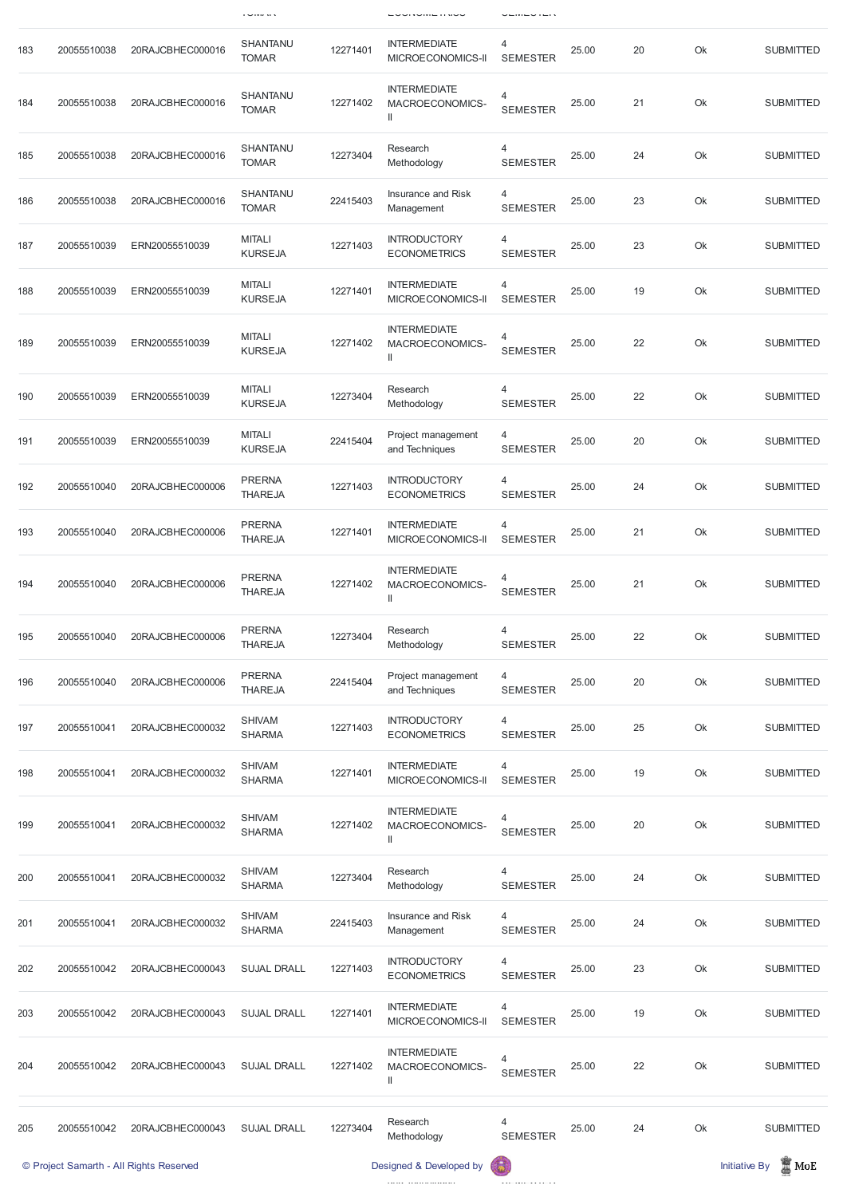|     |             |                  | $1 \times 1$ Y I $\lambda$      |          | — UVITUINIL II NUV                          | ---------            |       |    |    |                  |
|-----|-------------|------------------|---------------------------------|----------|---------------------------------------------|----------------------|-------|----|----|------------------|
| 183 | 20055510038 | 20RAJCBHEC000016 | <b>SHANTANU</b><br><b>TOMAR</b> | 12271401 | <b>INTERMEDIATE</b><br>MICROECONOMICS-II    | 4<br><b>SEMESTER</b> | 25.00 | 20 | Ok | <b>SUBMITTED</b> |
| 184 | 20055510038 | 20RAJCBHEC000016 | SHANTANU<br><b>TOMAR</b>        | 12271402 | <b>INTERMEDIATE</b><br>MACROECONOMICS-<br>Ш | 4<br><b>SEMESTER</b> | 25.00 | 21 | Ok | <b>SUBMITTED</b> |
| 185 | 20055510038 | 20RAJCBHEC000016 | SHANTANU<br><b>TOMAR</b>        | 12273404 | Research<br>Methodology                     | 4<br><b>SEMESTER</b> | 25.00 | 24 | Ok | <b>SUBMITTED</b> |
| 186 | 20055510038 | 20RAJCBHEC000016 | SHANTANU<br><b>TOMAR</b>        | 22415403 | Insurance and Risk<br>Management            | 4<br><b>SEMESTER</b> | 25.00 | 23 | Ok | <b>SUBMITTED</b> |
| 187 | 20055510039 | ERN20055510039   | <b>MITALI</b><br><b>KURSEJA</b> | 12271403 | <b>INTRODUCTORY</b><br><b>ECONOMETRICS</b>  | 4<br><b>SEMESTER</b> | 25.00 | 23 | Ok | <b>SUBMITTED</b> |
| 188 | 20055510039 | ERN20055510039   | <b>MITALI</b><br><b>KURSEJA</b> | 12271401 | <b>INTERMEDIATE</b><br>MICROECONOMICS-II    | 4<br><b>SEMESTER</b> | 25.00 | 19 | Ok | <b>SUBMITTED</b> |
| 189 | 20055510039 | ERN20055510039   | <b>MITALI</b><br><b>KURSEJA</b> | 12271402 | <b>INTERMEDIATE</b><br>MACROECONOMICS-<br>Ш | 4<br><b>SEMESTER</b> | 25.00 | 22 | Ok | <b>SUBMITTED</b> |
| 190 | 20055510039 | ERN20055510039   | <b>MITALI</b><br><b>KURSEJA</b> | 12273404 | Research<br>Methodology                     | 4<br><b>SEMESTER</b> | 25.00 | 22 | Ok | <b>SUBMITTED</b> |
| 191 | 20055510039 | ERN20055510039   | <b>MITALI</b><br><b>KURSEJA</b> | 22415404 | Project management<br>and Techniques        | 4<br><b>SEMESTER</b> | 25.00 | 20 | Ok | <b>SUBMITTED</b> |
| 192 | 20055510040 | 20RAJCBHEC000006 | <b>PRERNA</b><br><b>THAREJA</b> | 12271403 | <b>INTRODUCTORY</b><br><b>ECONOMETRICS</b>  | 4<br><b>SEMESTER</b> | 25.00 | 24 | Ok | <b>SUBMITTED</b> |
| 193 | 20055510040 | 20RAJCBHEC000006 | <b>PRERNA</b><br><b>THAREJA</b> | 12271401 | <b>INTERMEDIATE</b><br>MICROECONOMICS-II    | 4<br><b>SEMESTER</b> | 25.00 | 21 | Ok | <b>SUBMITTED</b> |
| 194 | 20055510040 | 20RAJCBHEC000006 | <b>PRERNA</b><br><b>THAREJA</b> | 12271402 | <b>INTERMEDIATE</b><br>MACROECONOMICS-<br>Ш | 4<br><b>SEMESTER</b> | 25.00 | 21 | Ok | <b>SUBMITTED</b> |
| 195 | 20055510040 | 20RAJCBHEC000006 | <b>PRERNA</b><br><b>THAREJA</b> | 12273404 | Research<br>Methodology                     | 4<br><b>SEMESTER</b> | 25.00 | 22 | Ok | <b>SUBMITTED</b> |
| 196 | 20055510040 | 20RAJCBHEC000006 | <b>PRERNA</b><br><b>THAREJA</b> | 22415404 | Project management<br>and Techniques        | 4<br><b>SEMESTER</b> | 25.00 | 20 | Ok | <b>SUBMITTED</b> |
| 197 | 20055510041 | 20RAJCBHEC000032 | <b>SHIVAM</b><br><b>SHARMA</b>  | 12271403 | <b>INTRODUCTORY</b><br><b>ECONOMETRICS</b>  | 4<br><b>SEMESTER</b> | 25.00 | 25 | Ok | <b>SUBMITTED</b> |
| 198 | 20055510041 | 20RAJCBHEC000032 | <b>SHIVAM</b><br><b>SHARMA</b>  | 12271401 | <b>INTERMEDIATE</b><br>MICROECONOMICS-II    | 4<br><b>SEMESTER</b> | 25.00 | 19 | Ok | <b>SUBMITTED</b> |
| 199 | 20055510041 | 20RAJCBHEC000032 | <b>SHIVAM</b><br><b>SHARMA</b>  | 12271402 | <b>INTERMEDIATE</b><br>MACROECONOMICS-<br>Ш | 4<br><b>SEMESTER</b> | 25.00 | 20 | Ok | <b>SUBMITTED</b> |
| 200 | 20055510041 | 20RAJCBHEC000032 | <b>SHIVAM</b><br><b>SHARMA</b>  | 12273404 | Research<br>Methodology                     | 4<br><b>SEMESTER</b> | 25.00 | 24 | Ok | <b>SUBMITTED</b> |

| 201                                                                     | 20055510041 | 20RAJCBHEC000032 | <b>SHIVAM</b><br><b>SHARMA</b> | 22415403 | Insurance and Risk<br>Management                       | 4<br><b>SEMESTER</b> | 25.00 | 24 | Ok | <b>SUBMITTED</b>                           |
|-------------------------------------------------------------------------|-------------|------------------|--------------------------------|----------|--------------------------------------------------------|----------------------|-------|----|----|--------------------------------------------|
| 202                                                                     | 20055510042 | 20RAJCBHEC000043 | <b>SUJAL DRALL</b>             | 12271403 | <b>INTRODUCTORY</b><br><b>ECONOMETRICS</b>             | 4<br><b>SEMESTER</b> | 25.00 | 23 | Ok | <b>SUBMITTED</b>                           |
| 203                                                                     | 20055510042 | 20RAJCBHEC000043 | <b>SUJAL DRALL</b>             | 12271401 | <b>INTERMEDIATE</b><br>MICROECONOMICS-II               | 4<br><b>SEMESTER</b> | 25.00 | 19 | Ok | <b>SUBMITTED</b>                           |
| 204                                                                     | 20055510042 | 20RAJCBHEC000043 | <b>SUJAL DRALL</b>             | 12271402 | <b>INTERMEDIATE</b><br>MACROECONOMICS-<br>$\mathsf{I}$ | 4<br><b>SEMESTER</b> | 25.00 | 22 | Ok | <b>SUBMITTED</b>                           |
|                                                                         |             |                  |                                |          |                                                        |                      |       |    |    |                                            |
| 205                                                                     | 20055510042 | 20RAJCBHEC000043 | <b>SUJAL DRALL</b>             | 12273404 | Research<br>Methodology                                | 4<br><b>SEMESTER</b> | 25.00 | 24 | Ok | <b>SUBMITTED</b>                           |
| 6<br>Designed & Developed by<br>© Project Samarth - All Rights Reserved |             |                  |                                |          |                                                        |                      |       |    |    | $\blacksquare$ MoE<br><b>Initiative By</b> |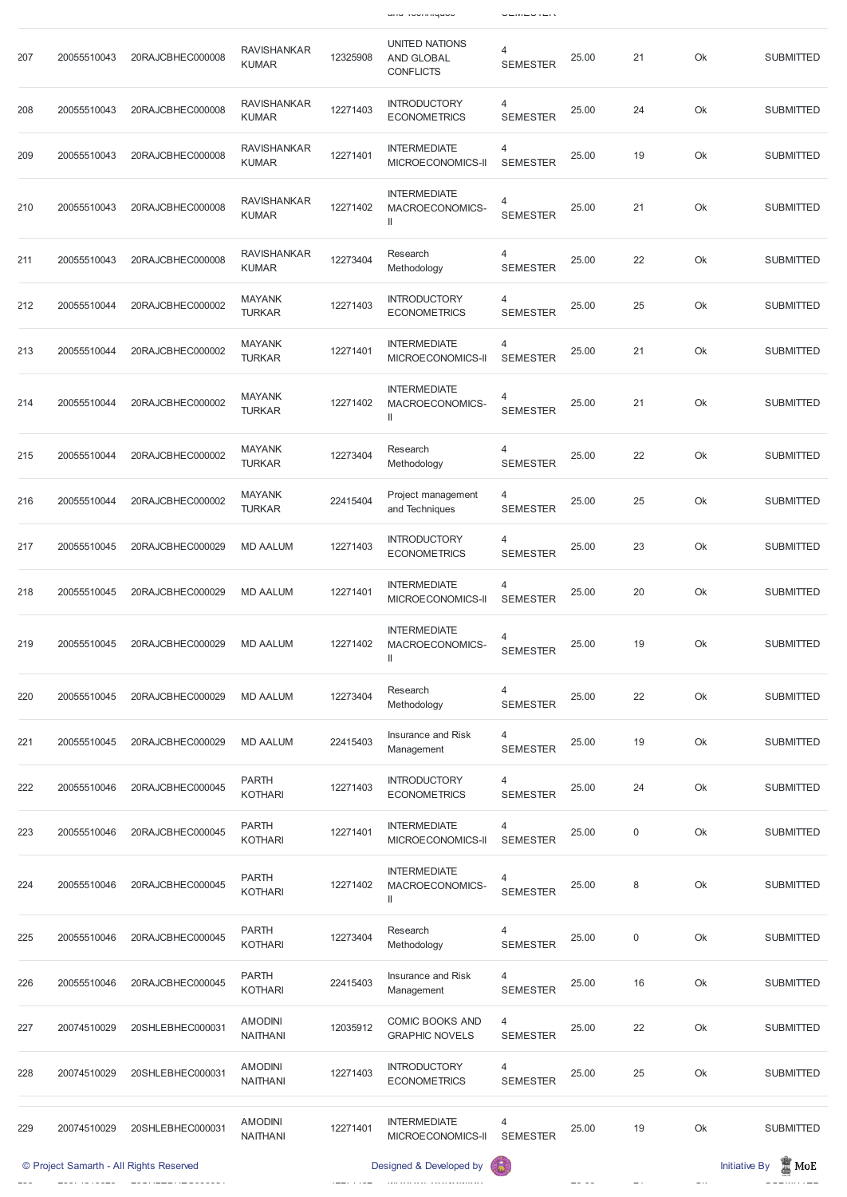| 207 | 20055510043 | 20RAJCBHEC000008 | <b>RAVISHANKAR</b><br><b>KUMAR</b> | 12325908 | <b>UNITED NATIONS</b><br><b>AND GLOBAL</b><br><b>CONFLICTS</b> | 4<br><b>SEMESTER</b>              | 25.00 | 21 | Ok | <b>SUBMITTED</b> |
|-----|-------------|------------------|------------------------------------|----------|----------------------------------------------------------------|-----------------------------------|-------|----|----|------------------|
| 208 | 20055510043 | 20RAJCBHEC000008 | <b>RAVISHANKAR</b><br><b>KUMAR</b> | 12271403 | <b>INTRODUCTORY</b><br><b>ECONOMETRICS</b>                     | 4<br><b>SEMESTER</b>              | 25.00 | 24 | Ok | <b>SUBMITTED</b> |
| 209 | 20055510043 | 20RAJCBHEC000008 | <b>RAVISHANKAR</b><br><b>KUMAR</b> | 12271401 | <b>INTERMEDIATE</b><br>MICROECONOMICS-II                       | 4<br><b>SEMESTER</b>              | 25.00 | 19 | Ok | <b>SUBMITTED</b> |
| 210 | 20055510043 | 20RAJCBHEC000008 | <b>RAVISHANKAR</b><br><b>KUMAR</b> | 12271402 | <b>INTERMEDIATE</b><br>MACROECONOMICS-<br>$\parallel$          | 4<br><b>SEMESTER</b>              | 25.00 | 21 | Ok | <b>SUBMITTED</b> |
| 211 | 20055510043 | 20RAJCBHEC000008 | <b>RAVISHANKAR</b><br><b>KUMAR</b> | 12273404 | Research<br>Methodology                                        | <b>SEMESTER</b>                   | 25.00 | 22 | Ok | <b>SUBMITTED</b> |
| 212 | 20055510044 | 20RAJCBHEC000002 | <b>MAYANK</b><br><b>TURKAR</b>     | 12271403 | <b>INTRODUCTORY</b><br><b>ECONOMETRICS</b>                     | 4<br><b>SEMESTER</b>              | 25.00 | 25 | Ok | <b>SUBMITTED</b> |
| 213 | 20055510044 | 20RAJCBHEC000002 | <b>MAYANK</b><br><b>TURKAR</b>     | 12271401 | <b>INTERMEDIATE</b><br>MICROECONOMICS-II                       | 4<br><b>SEMESTER</b>              | 25.00 | 21 | Ok | <b>SUBMITTED</b> |
| 214 | 20055510044 | 20RAJCBHEC000002 | <b>MAYANK</b><br><b>TURKAR</b>     | 12271402 | <b>INTERMEDIATE</b><br>MACROECONOMICS-<br>Ш                    | 4<br><b>SEMESTER</b>              | 25.00 | 21 | Ok | <b>SUBMITTED</b> |
| 215 | 20055510044 | 20RAJCBHEC000002 | <b>MAYANK</b><br><b>TURKAR</b>     | 12273404 | Research<br>Methodology                                        | 4<br><b>SEMESTER</b>              | 25.00 | 22 | Ok | <b>SUBMITTED</b> |
| 216 | 20055510044 | 20RAJCBHEC000002 | <b>MAYANK</b><br><b>TURKAR</b>     | 22415404 | Project management<br>and Techniques                           | 4<br><b>SEMESTER</b>              | 25.00 | 25 | Ok | <b>SUBMITTED</b> |
| 217 | 20055510045 | 20RAJCBHEC000029 | <b>MD AALUM</b>                    | 12271403 | <b>INTRODUCTORY</b><br><b>ECONOMETRICS</b>                     | 4<br><b>SEMESTER</b>              | 25.00 | 23 | Ok | <b>SUBMITTED</b> |
| 218 | 20055510045 | 20RAJCBHEC000029 | <b>MD AALUM</b>                    | 12271401 | <b>INTERMEDIATE</b><br>MICROECONOMICS-II                       | 4<br><b>SEMESTER</b>              | 25.00 | 20 | Ok | <b>SUBMITTED</b> |
| 219 | 20055510045 | 20RAJCBHEC000029 | <b>MD AALUM</b>                    | 12271402 | <b>INTERMEDIATE</b><br>MACROECONOMICS-<br>Ш                    | 4<br><b>SEMESTER</b>              | 25.00 | 19 | Ok | <b>SUBMITTED</b> |
| 220 | 20055510045 | 20RAJCBHEC000029 | <b>MD AALUM</b>                    | 12273404 | Research<br>Methodology                                        | 4<br><b>SEMESTER</b>              | 25.00 | 22 | Ok | <b>SUBMITTED</b> |
| 221 | 20055510045 | 20RAJCBHEC000029 | <b>MD AALUM</b>                    | 22415403 | Insurance and Risk<br>Management                               | $\overline{4}$<br><b>SEMESTER</b> | 25.00 | 19 | Ok | <b>SUBMITTED</b> |
| 222 | 20055510046 | 20RAJCBHEC000045 | <b>PARTH</b><br><b>KOTHARI</b>     | 12271403 | <b>INTRODUCTORY</b><br><b>ECONOMETRICS</b>                     | 4<br><b>SEMESTER</b>              | 25.00 | 24 | Ok | <b>SUBMITTED</b> |
| 223 | 20055510046 | 20RAJCBHEC000045 | <b>PARTH</b><br><b>KOTHARI</b>     | 12271401 | <b>INTERMEDIATE</b><br>MICROECONOMICS-II                       | 4<br><b>SEMESTER</b>              | 25.00 | 0  | Ok | <b>SUBMITTED</b> |
| 224 | 20055510046 | 20RAJCBHEC000045 | <b>PARTH</b><br><b>KOTHARI</b>     | 12271402 | <b>INTERMEDIATE</b><br>MACROECONOMICS-                         | 4<br><b>SEMESTER</b>              | 25.00 | 8  | Ok | <b>SUBMITTED</b> |

and Techniques SEMESTER

| 225                                                                | 20055510046 | 20RAJCBHEC000045 | <b>PARTH</b><br><b>KOTHARI</b>    | 12273404 | Research<br>Methodology                         | 4<br><b>SEMESTER</b> | 25.00 | $\mathsf 0$                             | Ok | <b>SUBMITTED</b> |
|--------------------------------------------------------------------|-------------|------------------|-----------------------------------|----------|-------------------------------------------------|----------------------|-------|-----------------------------------------|----|------------------|
| 226                                                                | 20055510046 | 20RAJCBHEC000045 | <b>PARTH</b><br><b>KOTHARI</b>    | 22415403 | Insurance and Risk<br>Management                | 4<br><b>SEMESTER</b> | 25.00 | 16                                      | Ok | <b>SUBMITTED</b> |
| 227                                                                | 20074510029 | 20SHLEBHEC000031 | <b>AMODINI</b><br><b>NAITHANI</b> | 12035912 | <b>COMIC BOOKS AND</b><br><b>GRAPHIC NOVELS</b> | 4<br><b>SEMESTER</b> | 25.00 | 22                                      | Ok | <b>SUBMITTED</b> |
| 228                                                                | 20074510029 | 20SHLEBHEC000031 | <b>AMODINI</b><br><b>NAITHANI</b> | 12271403 | <b>INTRODUCTORY</b><br><b>ECONOMETRICS</b>      | 4<br><b>SEMESTER</b> | 25.00 | 25                                      | Ok | <b>SUBMITTED</b> |
| 229                                                                | 20074510029 | 20SHLEBHEC000031 | <b>AMODINI</b><br><b>NAITHANI</b> | 12271401 | <b>INTERMEDIATE</b><br>MICROECONOMICS-II        | 4<br><b>SEMESTER</b> | 25.00 | 19                                      | Ok | <b>SUBMITTED</b> |
| Designed & Developed by<br>© Project Samarth - All Rights Reserved |             |                  |                                   |          |                                                 |                      |       | $\mathbb Z$ MoE<br><b>Initiative By</b> |    |                  |